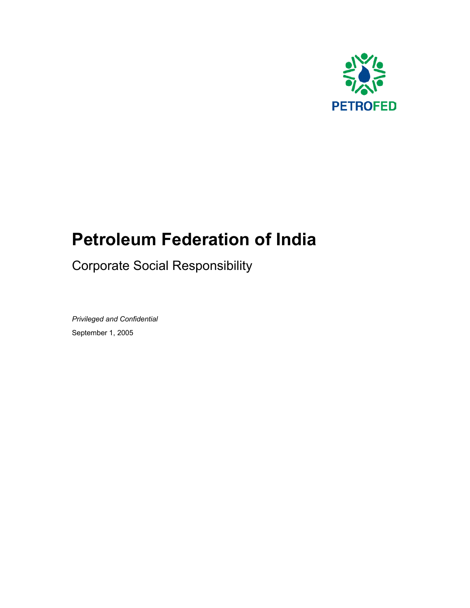

# **Petroleum Federation of India**

Corporate Social Responsibility

*Privileged and Confidential*  September 1, 2005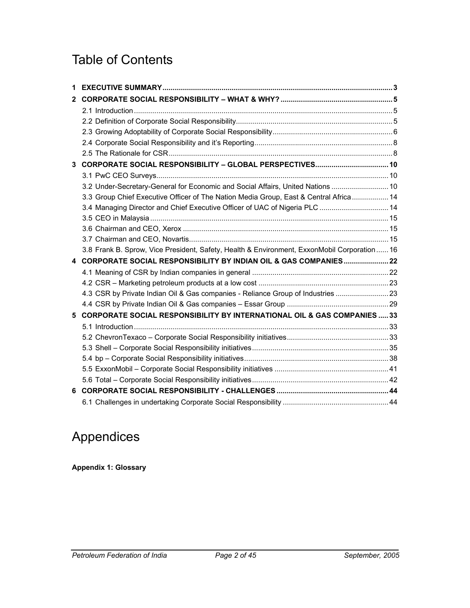# Table of Contents

| 2  |                                                                                             |  |
|----|---------------------------------------------------------------------------------------------|--|
|    |                                                                                             |  |
|    |                                                                                             |  |
|    |                                                                                             |  |
|    |                                                                                             |  |
|    |                                                                                             |  |
| 3  |                                                                                             |  |
|    |                                                                                             |  |
|    | 3.2 Under-Secretary-General for Economic and Social Affairs, United Nations  10             |  |
|    | 3.3 Group Chief Executive Officer of The Nation Media Group, East & Central Africa 14       |  |
|    | 3.4 Managing Director and Chief Executive Officer of UAC of Nigeria PLC  14                 |  |
|    |                                                                                             |  |
|    |                                                                                             |  |
|    |                                                                                             |  |
|    | 3.8 Frank B. Sprow, Vice President, Safety, Health & Environment, ExxonMobil Corporation 16 |  |
|    | 4 CORPORATE SOCIAL RESPONSIBILITY BY INDIAN OIL & GAS COMPANIES22                           |  |
|    |                                                                                             |  |
|    |                                                                                             |  |
|    | 4.3 CSR by Private Indian Oil & Gas companies - Reliance Group of Industries  23            |  |
|    |                                                                                             |  |
| 5. | <b>CORPORATE SOCIAL RESPONSIBILITY BY INTERNATIONAL OIL &amp; GAS COMPANIES  33</b>         |  |
|    |                                                                                             |  |
|    |                                                                                             |  |
|    |                                                                                             |  |
|    |                                                                                             |  |
|    |                                                                                             |  |
|    |                                                                                             |  |
| 6  |                                                                                             |  |
|    |                                                                                             |  |

# Appendices

**Appendix 1: Glossary**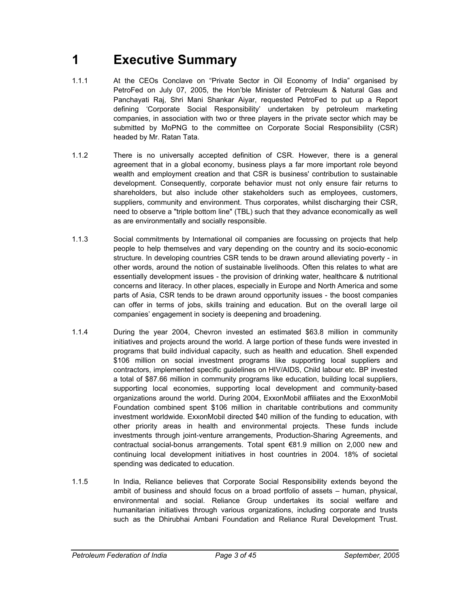# **1 Executive Summary**

- 1.1.1 At the CEOs Conclave on "Private Sector in Oil Economy of India" organised by PetroFed on July 07, 2005, the Hon'ble Minister of Petroleum & Natural Gas and Panchayati Raj, Shri Mani Shankar Aiyar, requested PetroFed to put up a Report defining 'Corporate Social Responsibility' undertaken by petroleum marketing companies, in association with two or three players in the private sector which may be submitted by MoPNG to the committee on Corporate Social Responsibility (CSR) headed by Mr. Ratan Tata.
- 1.1.2 There is no universally accepted definition of CSR. However, there is a general agreement that in a global economy, business plays a far more important role beyond wealth and employment creation and that CSR is business' contribution to sustainable development. Consequently, corporate behavior must not only ensure fair returns to shareholders, but also include other stakeholders such as employees, customers, suppliers, community and environment. Thus corporates, whilst discharging their CSR, need to observe a "triple bottom line" (TBL) such that they advance economically as well as are environmentally and socially responsible.
- 1.1.3 Social commitments by International oil companies are focussing on projects that help people to help themselves and vary depending on the country and its socio-economic structure. In developing countries CSR tends to be drawn around alleviating poverty - in other words, around the notion of sustainable livelihoods. Often this relates to what are essentially development issues - the provision of drinking water, healthcare & nutritional concerns and literacy. In other places, especially in Europe and North America and some parts of Asia, CSR tends to be drawn around opportunity issues - the boost companies can offer in terms of jobs, skills training and education. But on the overall large oil companies' engagement in society is deepening and broadening.
- 1.1.4 During the year 2004, Chevron invested an estimated \$63.8 million in community initiatives and projects around the world. A large portion of these funds were invested in programs that build individual capacity, such as health and education. Shell expended \$106 million on social investment programs like supporting local suppliers and contractors, implemented specific guidelines on HIV/AIDS, Child labour etc. BP invested a total of \$87.66 million in community programs like education, building local suppliers, supporting local economies, supporting local development and community-based organizations around the world. During 2004, ExxonMobil affiliates and the ExxonMobil Foundation combined spent \$106 million in charitable contributions and community investment worldwide. ExxonMobil directed \$40 million of the funding to education, with other priority areas in health and environmental projects. These funds include investments through joint-venture arrangements, Production-Sharing Agreements, and contractual social-bonus arrangements. Total spent €81.9 million on 2,000 new and continuing local development initiatives in host countries in 2004. 18% of societal spending was dedicated to education.
- 1.1.5 In India, Reliance believes that Corporate Social Responsibility extends beyond the ambit of business and should focus on a broad portfolio of assets – human, physical, environmental and social. Reliance Group undertakes its social welfare and humanitarian initiatives through various organizations, including corporate and trusts such as the Dhirubhai Ambani Foundation and Reliance Rural Development Trust.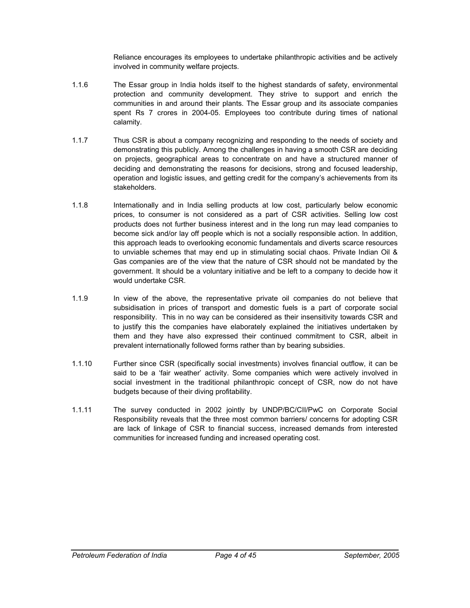Reliance encourages its employees to undertake philanthropic activities and be actively involved in community welfare projects.

- 1.1.6 The Essar group in India holds itself to the highest standards of safety, environmental protection and community development. They strive to support and enrich the communities in and around their plants. The Essar group and its associate companies spent Rs 7 crores in 2004-05. Employees too contribute during times of national calamity.
- 1.1.7 Thus CSR is about a company recognizing and responding to the needs of society and demonstrating this publicly. Among the challenges in having a smooth CSR are deciding on projects, geographical areas to concentrate on and have a structured manner of deciding and demonstrating the reasons for decisions, strong and focused leadership, operation and logistic issues, and getting credit for the company's achievements from its stakeholders.
- 1.1.8 Internationally and in India selling products at low cost, particularly below economic prices, to consumer is not considered as a part of CSR activities. Selling low cost products does not further business interest and in the long run may lead companies to become sick and/or lay off people which is not a socially responsible action. In addition, this approach leads to overlooking economic fundamentals and diverts scarce resources to unviable schemes that may end up in stimulating social chaos. Private Indian Oil & Gas companies are of the view that the nature of CSR should not be mandated by the government. It should be a voluntary initiative and be left to a company to decide how it would undertake CSR.
- 1.1.9 In view of the above, the representative private oil companies do not believe that subsidisation in prices of transport and domestic fuels is a part of corporate social responsibility. This in no way can be considered as their insensitivity towards CSR and to justify this the companies have elaborately explained the initiatives undertaken by them and they have also expressed their continued commitment to CSR, albeit in prevalent internationally followed forms rather than by bearing subsidies.
- 1.1.10 Further since CSR (specifically social investments) involves financial outflow, it can be said to be a 'fair weather' activity. Some companies which were actively involved in social investment in the traditional philanthropic concept of CSR, now do not have budgets because of their diving profitability.
- 1.1.11 The survey conducted in 2002 jointly by UNDP/BC/CII/PwC on Corporate Social Responsibility reveals that the three most common barriers/ concerns for adopting CSR are lack of linkage of CSR to financial success, increased demands from interested communities for increased funding and increased operating cost.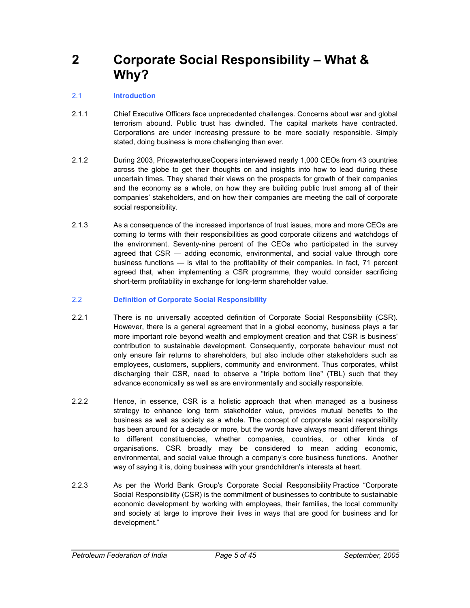**2 Corporate Social Responsibility – What & Why?** 

#### 2.1 **Introduction**

- 2.1.1 Chief Executive Officers face unprecedented challenges. Concerns about war and global terrorism abound. Public trust has dwindled. The capital markets have contracted. Corporations are under increasing pressure to be more socially responsible. Simply stated, doing business is more challenging than ever.
- 2.1.2 During 2003, PricewaterhouseCoopers interviewed nearly 1,000 CEOs from 43 countries across the globe to get their thoughts on and insights into how to lead during these uncertain times. They shared their views on the prospects for growth of their companies and the economy as a whole, on how they are building public trust among all of their companies' stakeholders, and on how their companies are meeting the call of corporate social responsibility.
- 2.1.3 As a consequence of the increased importance of trust issues, more and more CEOs are coming to terms with their responsibilities as good corporate citizens and watchdogs of the environment. Seventy-nine percent of the CEOs who participated in the survey agreed that CSR — adding economic, environmental, and social value through core business functions — is vital to the profitability of their companies. In fact, 71 percent agreed that, when implementing a CSR programme, they would consider sacrificing short-term profitability in exchange for long-term shareholder value.
- 2.2 **Definition of Corporate Social Responsibility**
- 2.2.1 There is no universally accepted definition of Corporate Social Responsibility (CSR). However, there is a general agreement that in a global economy, business plays a far more important role beyond wealth and employment creation and that CSR is business' contribution to sustainable development. Consequently, corporate behaviour must not only ensure fair returns to shareholders, but also include other stakeholders such as employees, customers, suppliers, community and environment. Thus corporates, whilst discharging their CSR, need to observe a "triple bottom line" (TBL) such that they advance economically as well as are environmentally and socially responsible.
- 2.2.2 Hence, in essence, CSR is a holistic approach that when managed as a business strategy to enhance long term stakeholder value, provides mutual benefits to the business as well as society as a whole. The concept of corporate social responsibility has been around for a decade or more, but the words have always meant different things to different constituencies, whether companies, countries, or other kinds of organisations. CSR broadly may be considered to mean adding economic, environmental, and social value through a company's core business functions. Another way of saying it is, doing business with your grandchildren's interests at heart.
- 2.2.3 As per the World Bank Group's Corporate Social Responsibility Practice "Corporate Social Responsibility (CSR) is the commitment of businesses to contribute to sustainable economic development by working with employees, their families, the local community and society at large to improve their lives in ways that are good for business and for development."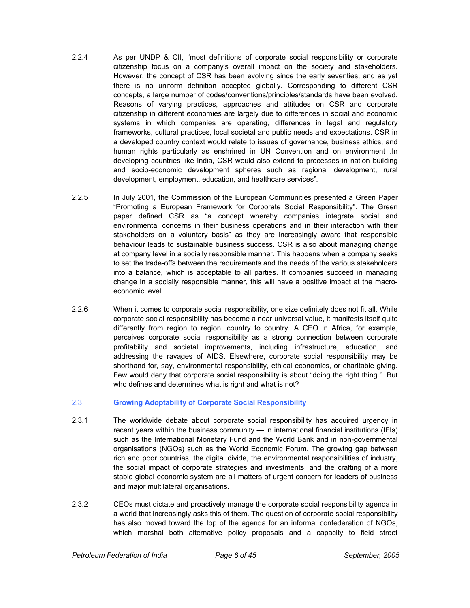- 2.2.4 As per UNDP & CII, "most definitions of corporate social responsibility or corporate citizenship focus on a company's overall impact on the society and stakeholders. However, the concept of CSR has been evolving since the early seventies, and as yet there is no uniform definition accepted globally. Corresponding to different CSR concepts, a large number of codes/conventions/principles/standards have been evolved. Reasons of varying practices, approaches and attitudes on CSR and corporate citizenship in different economies are largely due to differences in social and economic systems in which companies are operating, differences in legal and regulatory frameworks, cultural practices, local societal and public needs and expectations. CSR in a developed country context would relate to issues of governance, business ethics, and human rights particularly as enshrined in UN Convention and on environment .In developing countries like India, CSR would also extend to processes in nation building and socio-economic development spheres such as regional development, rural development, employment, education, and healthcare services".
- 2.2.5 In July 2001, the Commission of the European Communities presented a Green Paper "Promoting a European Framework for Corporate Social Responsibility". The Green paper defined CSR as "a concept whereby companies integrate social and environmental concerns in their business operations and in their interaction with their stakeholders on a voluntary basis" as they are increasingly aware that responsible behaviour leads to sustainable business success. CSR is also about managing change at company level in a socially responsible manner. This happens when a company seeks to set the trade-offs between the requirements and the needs of the various stakeholders into a balance, which is acceptable to all parties. If companies succeed in managing change in a socially responsible manner, this will have a positive impact at the macroeconomic level.
- 2.2.6 When it comes to corporate social responsibility, one size definitely does not fit all. While corporate social responsibility has become a near universal value, it manifests itself quite differently from region to region, country to country. A CEO in Africa, for example, perceives corporate social responsibility as a strong connection between corporate profitability and societal improvements, including infrastructure, education, and addressing the ravages of AIDS. Elsewhere, corporate social responsibility may be shorthand for, say, environmental responsibility, ethical economics, or charitable giving. Few would deny that corporate social responsibility is about "doing the right thing." But who defines and determines what is right and what is not?

#### 2.3 **Growing Adoptability of Corporate Social Responsibility**

- 2.3.1 The worldwide debate about corporate social responsibility has acquired urgency in recent years within the business community — in international financial institutions (IFIs) such as the International Monetary Fund and the World Bank and in non-governmental organisations (NGOs) such as the World Economic Forum. The growing gap between rich and poor countries, the digital divide, the environmental responsibilities of industry, the social impact of corporate strategies and investments, and the crafting of a more stable global economic system are all matters of urgent concern for leaders of business and major multilateral organisations.
- 2.3.2 CEOs must dictate and proactively manage the corporate social responsibility agenda in a world that increasingly asks this of them. The question of corporate social responsibility has also moved toward the top of the agenda for an informal confederation of NGOs, which marshal both alternative policy proposals and a capacity to field street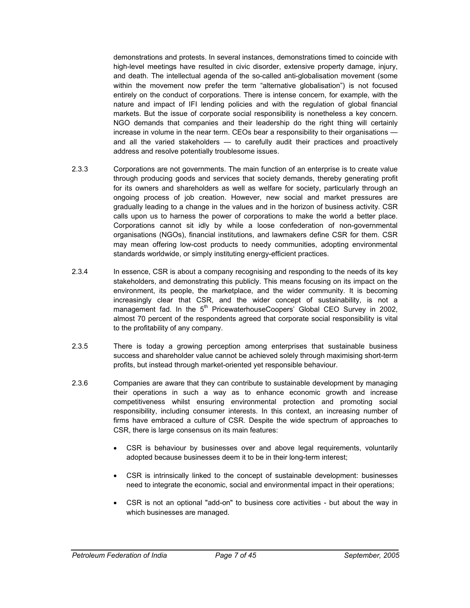demonstrations and protests. In several instances, demonstrations timed to coincide with high-level meetings have resulted in civic disorder, extensive property damage, injury, and death. The intellectual agenda of the so-called anti-globalisation movement (some within the movement now prefer the term "alternative globalisation") is not focused entirely on the conduct of corporations. There is intense concern, for example, with the nature and impact of IFI lending policies and with the regulation of global financial markets. But the issue of corporate social responsibility is nonetheless a key concern. NGO demands that companies and their leadership do the right thing will certainly increase in volume in the near term. CEOs bear a responsibility to their organisations and all the varied stakeholders — to carefully audit their practices and proactively address and resolve potentially troublesome issues.

- 2.3.3 Corporations are not governments. The main function of an enterprise is to create value through producing goods and services that society demands, thereby generating profit for its owners and shareholders as well as welfare for society, particularly through an ongoing process of job creation. However, new social and market pressures are gradually leading to a change in the values and in the horizon of business activity. CSR calls upon us to harness the power of corporations to make the world a better place. Corporations cannot sit idly by while a loose confederation of non-governmental organisations (NGOs), financial institutions, and lawmakers define CSR for them. CSR may mean offering low-cost products to needy communities, adopting environmental standards worldwide, or simply instituting energy-efficient practices.
- 2.3.4 In essence, CSR is about a company recognising and responding to the needs of its key stakeholders, and demonstrating this publicly. This means focusing on its impact on the environment, its people, the marketplace, and the wider community. It is becoming increasingly clear that CSR, and the wider concept of sustainability, is not a management fad. In the 5<sup>th</sup> PricewaterhouseCoopers' Global CEO Survey in 2002, almost 70 percent of the respondents agreed that corporate social responsibility is vital to the profitability of any company.
- 2.3.5 There is today a growing perception among enterprises that sustainable business success and shareholder value cannot be achieved solely through maximising short-term profits, but instead through market-oriented yet responsible behaviour.
- 2.3.6 Companies are aware that they can contribute to sustainable development by managing their operations in such a way as to enhance economic growth and increase competitiveness whilst ensuring environmental protection and promoting social responsibility, including consumer interests. In this context, an increasing number of firms have embraced a culture of CSR. Despite the wide spectrum of approaches to CSR, there is large consensus on its main features:
	- CSR is behaviour by businesses over and above legal requirements, voluntarily adopted because businesses deem it to be in their long-term interest;
	- CSR is intrinsically linked to the concept of sustainable development: businesses need to integrate the economic, social and environmental impact in their operations;
	- CSR is not an optional "add-on" to business core activities but about the way in which businesses are managed.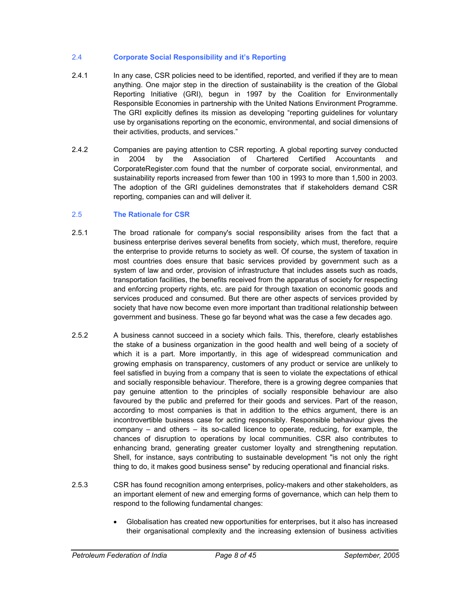#### 2.4 **Corporate Social Responsibility and it's Reporting**

- 2.4.1 In any case, CSR policies need to be identified, reported, and verified if they are to mean anything. One major step in the direction of sustainability is the creation of the Global Reporting Initiative (GRI), begun in 1997 by the Coalition for Environmentally Responsible Economies in partnership with the United Nations Environment Programme. The GRI explicitly defines its mission as developing "reporting guidelines for voluntary use by organisations reporting on the economic, environmental, and social dimensions of their activities, products, and services."
- 2.4.2 Companies are paying attention to CSR reporting. A global reporting survey conducted in 2004 by the Association of Chartered Certified Accountants and CorporateRegister.com found that the number of corporate social, environmental, and sustainability reports increased from fewer than 100 in 1993 to more than 1,500 in 2003. The adoption of the GRI guidelines demonstrates that if stakeholders demand CSR reporting, companies can and will deliver it.

#### 2.5 **The Rationale for CSR**

- 2.5.1 The broad rationale for company's social responsibility arises from the fact that a business enterprise derives several benefits from society, which must, therefore, require the enterprise to provide returns to society as well. Of course, the system of taxation in most countries does ensure that basic services provided by government such as a system of law and order, provision of infrastructure that includes assets such as roads, transportation facilities, the benefits received from the apparatus of society for respecting and enforcing property rights, etc. are paid for through taxation on economic goods and services produced and consumed. But there are other aspects of services provided by society that have now become even more important than traditional relationship between government and business. These go far beyond what was the case a few decades ago.
- 2.5.2 A business cannot succeed in a society which fails. This, therefore, clearly establishes the stake of a business organization in the good health and well being of a society of which it is a part. More importantly, in this age of widespread communication and growing emphasis on transparency, customers of any product or service are unlikely to feel satisfied in buying from a company that is seen to violate the expectations of ethical and socially responsible behaviour. Therefore, there is a growing degree companies that pay genuine attention to the principles of socially responsible behaviour are also favoured by the public and preferred for their goods and services. Part of the reason, according to most companies is that in addition to the ethics argument, there is an incontrovertible business case for acting responsibly. Responsible behaviour gives the company – and others – its so-called licence to operate, reducing, for example, the chances of disruption to operations by local communities. CSR also contributes to enhancing brand, generating greater customer loyalty and strengthening reputation. Shell, for instance, says contributing to sustainable development "is not only the right thing to do, it makes good business sense" by reducing operational and financial risks.
- 2.5.3 CSR has found recognition among enterprises, policy-makers and other stakeholders, as an important element of new and emerging forms of governance, which can help them to respond to the following fundamental changes:
	- Globalisation has created new opportunities for enterprises, but it also has increased their organisational complexity and the increasing extension of business activities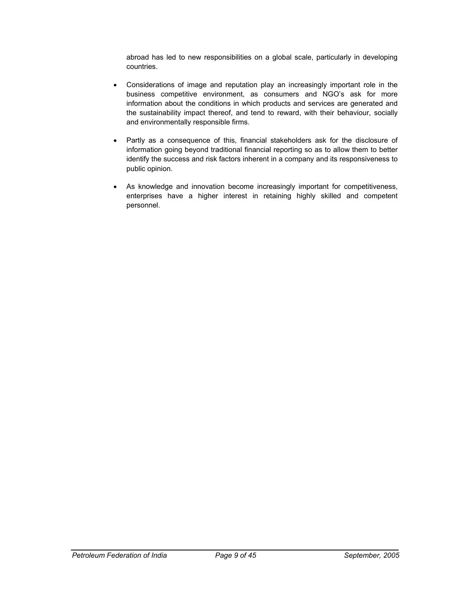abroad has led to new responsibilities on a global scale, particularly in developing countries.

- Considerations of image and reputation play an increasingly important role in the business competitive environment, as consumers and NGO's ask for more information about the conditions in which products and services are generated and the sustainability impact thereof, and tend to reward, with their behaviour, socially and environmentally responsible firms.
- Partly as a consequence of this, financial stakeholders ask for the disclosure of information going beyond traditional financial reporting so as to allow them to better identify the success and risk factors inherent in a company and its responsiveness to public opinion.
- As knowledge and innovation become increasingly important for competitiveness, enterprises have a higher interest in retaining highly skilled and competent personnel.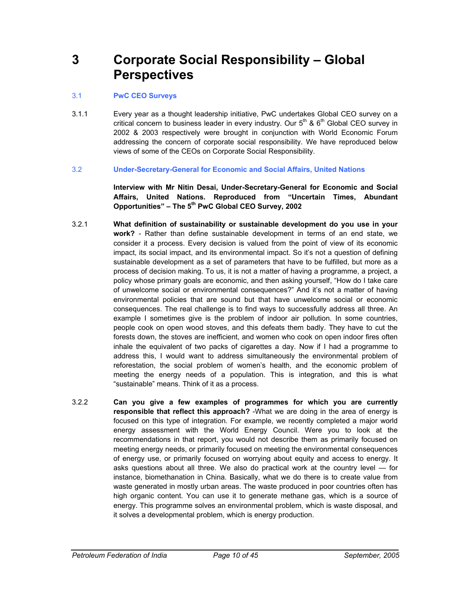### **3 Corporate Social Responsibility – Global Perspectives**

#### 3.1 **PwC CEO Surveys**

3.1.1 Every year as a thought leadership initiative, PwC undertakes Global CEO survey on a critical concern to business leader in every industry. Our  $5<sup>th</sup>$  &  $6<sup>th</sup>$  Global CEO survey in 2002 & 2003 respectively were brought in conjunction with World Economic Forum addressing the concern of corporate social responsibility. We have reproduced below views of some of the CEOs on Corporate Social Responsibility.

#### 3.2 **Under-Secretary-General for Economic and Social Affairs, United Nations**

**Interview with Mr Nitin Desai, Under-Secretary-General for Economic and Social Affairs, United Nations. Reproduced from "Uncertain Times, Abundant Opportunities" – The 5th PwC Global CEO Survey, 2002** 

- 3.2.1 **What definition of sustainability or sustainable development do you use in your work?** - Rather than define sustainable development in terms of an end state, we consider it a process. Every decision is valued from the point of view of its economic impact, its social impact, and its environmental impact. So it's not a question of defining sustainable development as a set of parameters that have to be fulfilled, but more as a process of decision making. To us, it is not a matter of having a programme, a project, a policy whose primary goals are economic, and then asking yourself, "How do I take care of unwelcome social or environmental consequences?" And it's not a matter of having environmental policies that are sound but that have unwelcome social or economic consequences. The real challenge is to find ways to successfully address all three. An example I sometimes give is the problem of indoor air pollution. In some countries, people cook on open wood stoves, and this defeats them badly. They have to cut the forests down, the stoves are inefficient, and women who cook on open indoor fires often inhale the equivalent of two packs of cigarettes a day. Now if I had a programme to address this, I would want to address simultaneously the environmental problem of reforestation, the social problem of women's health, and the economic problem of meeting the energy needs of a population. This is integration, and this is what "sustainable" means. Think of it as a process.
- 3.2.2 **Can you give a few examples of programmes for which you are currently responsible that reflect this approach?** -What we are doing in the area of energy is focused on this type of integration. For example, we recently completed a major world energy assessment with the World Energy Council. Were you to look at the recommendations in that report, you would not describe them as primarily focused on meeting energy needs, or primarily focused on meeting the environmental consequences of energy use, or primarily focused on worrying about equity and access to energy. It asks questions about all three. We also do practical work at the country level — for instance, biomethanation in China. Basically, what we do there is to create value from waste generated in mostly urban areas. The waste produced in poor countries often has high organic content. You can use it to generate methane gas, which is a source of energy. This programme solves an environmental problem, which is waste disposal, and it solves a developmental problem, which is energy production.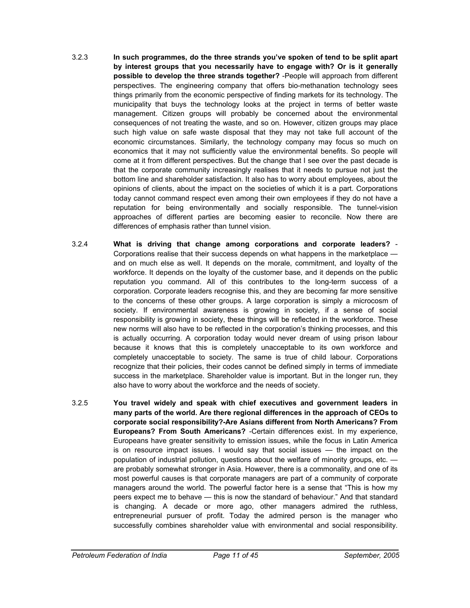- 3.2.3 **In such programmes, do the three strands you've spoken of tend to be split apart by interest groups that you necessarily have to engage with? Or is it generally possible to develop the three strands together?** -People will approach from different perspectives. The engineering company that offers bio-methanation technology sees things primarily from the economic perspective of finding markets for its technology. The municipality that buys the technology looks at the project in terms of better waste management. Citizen groups will probably be concerned about the environmental consequences of not treating the waste, and so on. However, citizen groups may place such high value on safe waste disposal that they may not take full account of the economic circumstances. Similarly, the technology company may focus so much on economics that it may not sufficiently value the environmental benefits. So people will come at it from different perspectives. But the change that I see over the past decade is that the corporate community increasingly realises that it needs to pursue not just the bottom line and shareholder satisfaction. It also has to worry about employees, about the opinions of clients, about the impact on the societies of which it is a part. Corporations today cannot command respect even among their own employees if they do not have a reputation for being environmentally and socially responsible. The tunnel-vision approaches of different parties are becoming easier to reconcile. Now there are differences of emphasis rather than tunnel vision.
- 3.2.4 **What is driving that change among corporations and corporate leaders?** Corporations realise that their success depends on what happens in the marketplace and on much else as well. It depends on the morale, commitment, and loyalty of the workforce. It depends on the loyalty of the customer base, and it depends on the public reputation you command. All of this contributes to the long-term success of a corporation. Corporate leaders recognise this, and they are becoming far more sensitive to the concerns of these other groups. A large corporation is simply a microcosm of society. If environmental awareness is growing in society, if a sense of social responsibility is growing in society, these things will be reflected in the workforce. These new norms will also have to be reflected in the corporation's thinking processes, and this is actually occurring. A corporation today would never dream of using prison labour because it knows that this is completely unacceptable to its own workforce and completely unacceptable to society. The same is true of child labour. Corporations recognize that their policies, their codes cannot be defined simply in terms of immediate success in the marketplace. Shareholder value is important. But in the longer run, they also have to worry about the workforce and the needs of society.
- 3.2.5 **You travel widely and speak with chief executives and government leaders in many parts of the world. Are there regional differences in the approach of CEOs to corporate social responsibility?-Are Asians different from North Americans? From Europeans? From South Americans?** -Certain differences exist. In my experience, Europeans have greater sensitivity to emission issues, while the focus in Latin America is on resource impact issues. I would say that social issues — the impact on the population of industrial pollution, questions about the welfare of minority groups, etc. are probably somewhat stronger in Asia. However, there is a commonality, and one of its most powerful causes is that corporate managers are part of a community of corporate managers around the world. The powerful factor here is a sense that "This is how my peers expect me to behave — this is now the standard of behaviour." And that standard is changing. A decade or more ago, other managers admired the ruthless, entrepreneurial pursuer of profit. Today the admired person is the manager who successfully combines shareholder value with environmental and social responsibility.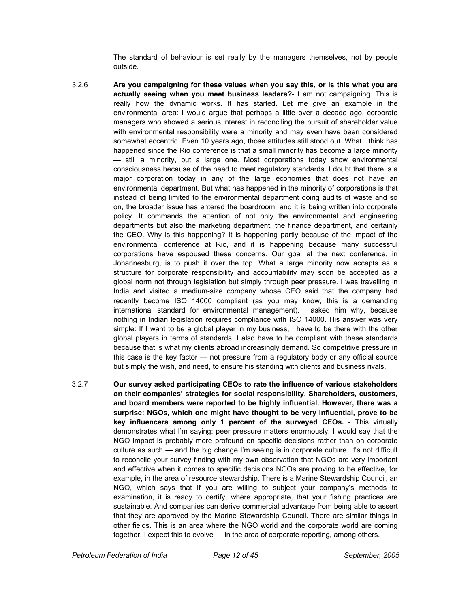The standard of behaviour is set really by the managers themselves, not by people outside.

- 3.2.6 **Are you campaigning for these values when you say this, or is this what you are actually seeing when you meet business leaders?**- I am not campaigning. This is really how the dynamic works. It has started. Let me give an example in the environmental area: I would argue that perhaps a little over a decade ago, corporate managers who showed a serious interest in reconciling the pursuit of shareholder value with environmental responsibility were a minority and may even have been considered somewhat eccentric. Even 10 years ago, those attitudes still stood out. What I think has happened since the Rio conference is that a small minority has become a large minority — still a minority, but a large one. Most corporations today show environmental consciousness because of the need to meet regulatory standards. I doubt that there is a major corporation today in any of the large economies that does not have an environmental department. But what has happened in the minority of corporations is that instead of being limited to the environmental department doing audits of waste and so on, the broader issue has entered the boardroom, and it is being written into corporate policy. It commands the attention of not only the environmental and engineering departments but also the marketing department, the finance department, and certainly the CEO. Why is this happening? It is happening partly because of the impact of the environmental conference at Rio, and it is happening because many successful corporations have espoused these concerns. Our goal at the next conference, in Johannesburg, is to push it over the top. What a large minority now accepts as a structure for corporate responsibility and accountability may soon be accepted as a global norm not through legislation but simply through peer pressure. I was travelling in India and visited a medium-size company whose CEO said that the company had recently become ISO 14000 compliant (as you may know, this is a demanding international standard for environmental management). I asked him why, because nothing in Indian legislation requires compliance with ISO 14000. His answer was very simple: If I want to be a global player in my business, I have to be there with the other global players in terms of standards. I also have to be compliant with these standards because that is what my clients abroad increasingly demand. So competitive pressure in this case is the key factor — not pressure from a regulatory body or any official source but simply the wish, and need, to ensure his standing with clients and business rivals.
- 3.2.7 **Our survey asked participating CEOs to rate the influence of various stakeholders on their companies' strategies for social responsibility. Shareholders, customers, and board members were reported to be highly influential. However, there was a surprise: NGOs, which one might have thought to be very influential, prove to be key influencers among only 1 percent of the surveyed CEOs.** - This virtually demonstrates what I'm saying: peer pressure matters enormously. I would say that the NGO impact is probably more profound on specific decisions rather than on corporate culture as such — and the big change I'm seeing is in corporate culture. It's not difficult to reconcile your survey finding with my own observation that NGOs are very important and effective when it comes to specific decisions NGOs are proving to be effective, for example, in the area of resource stewardship. There is a Marine Stewardship Council, an NGO, which says that if you are willing to subject your company's methods to examination, it is ready to certify, where appropriate, that your fishing practices are sustainable. And companies can derive commercial advantage from being able to assert that they are approved by the Marine Stewardship Council. There are similar things in other fields. This is an area where the NGO world and the corporate world are coming together. I expect this to evolve — in the area of corporate reporting, among others.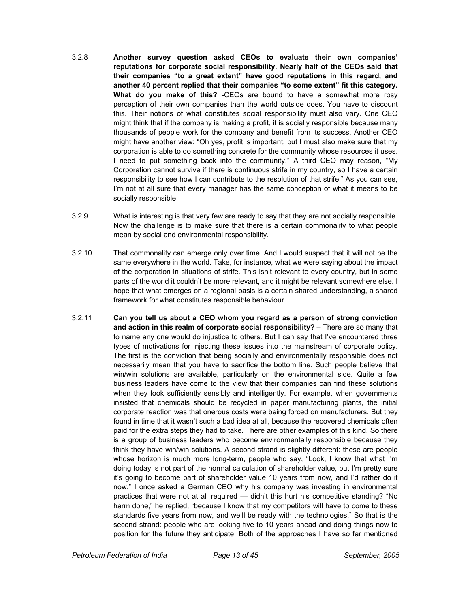- 3.2.8 **Another survey question asked CEOs to evaluate their own companies' reputations for corporate social responsibility. Nearly half of the CEOs said that their companies "to a great extent" have good reputations in this regard, and another 40 percent replied that their companies "to some extent" fit this category. What do you make of this?** -CEOs are bound to have a somewhat more rosy perception of their own companies than the world outside does. You have to discount this. Their notions of what constitutes social responsibility must also vary. One CEO might think that if the company is making a profit, it is socially responsible because many thousands of people work for the company and benefit from its success. Another CEO might have another view: "Oh yes, profit is important, but I must also make sure that my corporation is able to do something concrete for the community whose resources it uses. I need to put something back into the community." A third CEO may reason, "My Corporation cannot survive if there is continuous strife in my country, so I have a certain responsibility to see how I can contribute to the resolution of that strife." As you can see, I'm not at all sure that every manager has the same conception of what it means to be socially responsible.
- 3.2.9 What is interesting is that very few are ready to say that they are not socially responsible. Now the challenge is to make sure that there is a certain commonality to what people mean by social and environmental responsibility.
- 3.2.10 That commonality can emerge only over time. And I would suspect that it will not be the same everywhere in the world. Take, for instance, what we were saying about the impact of the corporation in situations of strife. This isn't relevant to every country, but in some parts of the world it couldn't be more relevant, and it might be relevant somewhere else. I hope that what emerges on a regional basis is a certain shared understanding, a shared framework for what constitutes responsible behaviour.
- 3.2.11 **Can you tell us about a CEO whom you regard as a person of strong conviction and action in this realm of corporate social responsibility?** – There are so many that to name any one would do injustice to others. But I can say that I've encountered three types of motivations for injecting these issues into the mainstream of corporate policy. The first is the conviction that being socially and environmentally responsible does not necessarily mean that you have to sacrifice the bottom line. Such people believe that win/win solutions are available, particularly on the environmental side. Quite a few business leaders have come to the view that their companies can find these solutions when they look sufficiently sensibly and intelligently. For example, when governments insisted that chemicals should be recycled in paper manufacturing plants, the initial corporate reaction was that onerous costs were being forced on manufacturers. But they found in time that it wasn't such a bad idea at all, because the recovered chemicals often paid for the extra steps they had to take. There are other examples of this kind. So there is a group of business leaders who become environmentally responsible because they think they have win/win solutions. A second strand is slightly different: these are people whose horizon is much more long-term, people who say, "Look, I know that what I'm doing today is not part of the normal calculation of shareholder value, but I'm pretty sure it's going to become part of shareholder value 10 years from now, and I'd rather do it now." I once asked a German CEO why his company was investing in environmental practices that were not at all required — didn't this hurt his competitive standing? "No harm done," he replied, "because I know that my competitors will have to come to these standards five years from now, and we'll be ready with the technologies." So that is the second strand: people who are looking five to 10 years ahead and doing things now to position for the future they anticipate. Both of the approaches I have so far mentioned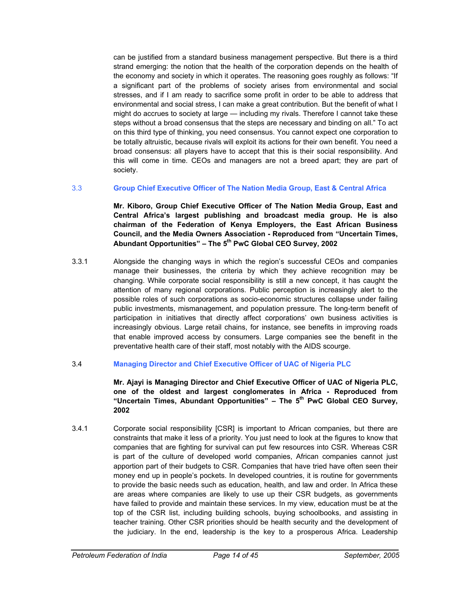can be justified from a standard business management perspective. But there is a third strand emerging: the notion that the health of the corporation depends on the health of the economy and society in which it operates. The reasoning goes roughly as follows: "If a significant part of the problems of society arises from environmental and social stresses, and if I am ready to sacrifice some profit in order to be able to address that environmental and social stress, I can make a great contribution. But the benefit of what I might do accrues to society at large — including my rivals. Therefore I cannot take these steps without a broad consensus that the steps are necessary and binding on all." To act on this third type of thinking, you need consensus. You cannot expect one corporation to be totally altruistic, because rivals will exploit its actions for their own benefit. You need a broad consensus: all players have to accept that this is their social responsibility. And this will come in time. CEOs and managers are not a breed apart; they are part of society.

#### 3.3 **Group Chief Executive Officer of The Nation Media Group, East & Central Africa**

**Mr. Kiboro, Group Chief Executive Officer of The Nation Media Group, East and Central Africa's largest publishing and broadcast media group. He is also chairman of the Federation of Kenya Employers, the East African Business Council, and the Media Owners Association - Reproduced from "Uncertain Times,**  Abundant Opportunities" – The 5<sup>th</sup> PwC Global CEO Survey, 2002

3.3.1 Alongside the changing ways in which the region's successful CEOs and companies manage their businesses, the criteria by which they achieve recognition may be changing. While corporate social responsibility is still a new concept, it has caught the attention of many regional corporations. Public perception is increasingly alert to the possible roles of such corporations as socio-economic structures collapse under failing public investments, mismanagement, and population pressure. The long-term benefit of participation in initiatives that directly affect corporations' own business activities is increasingly obvious. Large retail chains, for instance, see benefits in improving roads that enable improved access by consumers. Large companies see the benefit in the preventative health care of their staff, most notably with the AIDS scourge.

#### 3.4 **Managing Director and Chief Executive Officer of UAC of Nigeria PLC**

#### **Mr. Ajayi is Managing Director and Chief Executive Officer of UAC of Nigeria PLC, one of the oldest and largest conglomerates in Africa - Reproduced from**  "Uncertain Times, Abundant Opportunities" - The 5<sup>th</sup> PwC Global CEO Survev. **2002**

3.4.1 Corporate social responsibility [CSR] is important to African companies, but there are constraints that make it less of a priority. You just need to look at the figures to know that companies that are fighting for survival can put few resources into CSR. Whereas CSR is part of the culture of developed world companies, African companies cannot just apportion part of their budgets to CSR. Companies that have tried have often seen their money end up in people's pockets. In developed countries, it is routine for governments to provide the basic needs such as education, health, and law and order. In Africa these are areas where companies are likely to use up their CSR budgets, as governments have failed to provide and maintain these services. In my view, education must be at the top of the CSR list, including building schools, buying schoolbooks, and assisting in teacher training. Other CSR priorities should be health security and the development of the judiciary. In the end, leadership is the key to a prosperous Africa. Leadership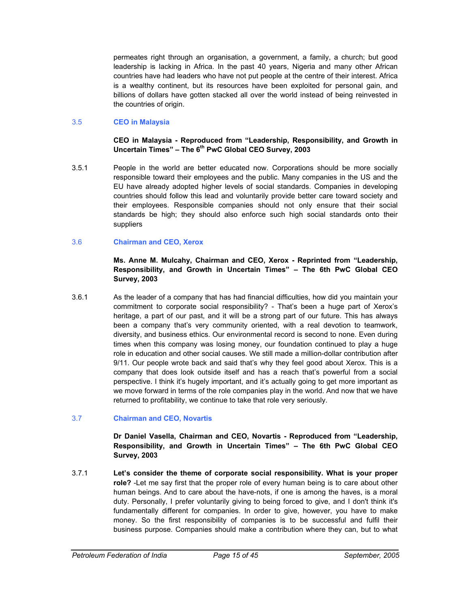permeates right through an organisation, a government, a family, a church; but good leadership is lacking in Africa. In the past 40 years, Nigeria and many other African countries have had leaders who have not put people at the centre of their interest. Africa is a wealthy continent, but its resources have been exploited for personal gain, and billions of dollars have gotten stacked all over the world instead of being reinvested in the countries of origin.

#### 3.5 **CEO in Malaysia**

**CEO in Malaysia - Reproduced from "Leadership, Responsibility, and Growth in**  Uncertain Times" – The 6<sup>th</sup> PwC Global CEO Survey, 2003

3.5.1 People in the world are better educated now. Corporations should be more socially responsible toward their employees and the public. Many companies in the US and the EU have already adopted higher levels of social standards. Companies in developing countries should follow this lead and voluntarily provide better care toward society and their employees. Responsible companies should not only ensure that their social standards be high; they should also enforce such high social standards onto their suppliers

#### 3.6 **Chairman and CEO, Xerox**

#### **Ms. Anne M. Mulcahy, Chairman and CEO, Xerox - Reprinted from "Leadership, Responsibility, and Growth in Uncertain Times" – The 6th PwC Global CEO Survey, 2003**

3.6.1 As the leader of a company that has had financial difficulties, how did you maintain your commitment to corporate social responsibility? - That's been a huge part of Xerox's heritage, a part of our past, and it will be a strong part of our future. This has always been a company that's very community oriented, with a real devotion to teamwork, diversity, and business ethics. Our environmental record is second to none. Even during times when this company was losing money, our foundation continued to play a huge role in education and other social causes. We still made a million-dollar contribution after 9/11. Our people wrote back and said that's why they feel good about Xerox. This is a company that does look outside itself and has a reach that's powerful from a social perspective. I think it's hugely important, and it's actually going to get more important as we move forward in terms of the role companies play in the world. And now that we have returned to profitability, we continue to take that role very seriously.

#### 3.7 **Chairman and CEO, Novartis**

#### **Dr Daniel Vasella, Chairman and CEO, Novartis - Reproduced from "Leadership, Responsibility, and Growth in Uncertain Times" – The 6th PwC Global CEO Survey, 2003**

3.7.1 **Let's consider the theme of corporate social responsibility. What is your proper role?** -Let me say first that the proper role of every human being is to care about other human beings. And to care about the have-nots, if one is among the haves, is a moral duty. Personally, I prefer voluntarily giving to being forced to give, and I don't think it's fundamentally different for companies. In order to give, however, you have to make money. So the first responsibility of companies is to be successful and fulfil their business purpose. Companies should make a contribution where they can, but to what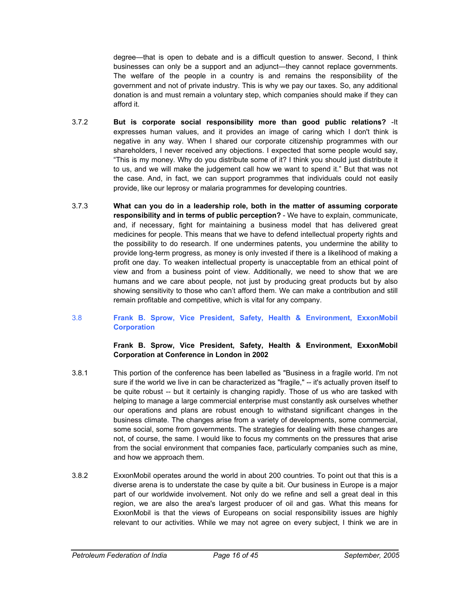degree—that is open to debate and is a difficult question to answer. Second, I think businesses can only be a support and an adjunct—they cannot replace governments. The welfare of the people in a country is and remains the responsibility of the government and not of private industry. This is why we pay our taxes. So, any additional donation is and must remain a voluntary step, which companies should make if they can afford it.

- 3.7.2 **But is corporate social responsibility more than good public relations?** -It expresses human values, and it provides an image of caring which I don't think is negative in any way. When I shared our corporate citizenship programmes with our shareholders, I never received any objections. I expected that some people would say, "This is my money. Why do you distribute some of it? I think you should just distribute it to us, and we will make the judgement call how we want to spend it." But that was not the case. And, in fact, we can support programmes that individuals could not easily provide, like our leprosy or malaria programmes for developing countries.
- 3.7.3 **What can you do in a leadership role, both in the matter of assuming corporate responsibility and in terms of public perception?** - We have to explain, communicate, and, if necessary, fight for maintaining a business model that has delivered great medicines for people. This means that we have to defend intellectual property rights and the possibility to do research. If one undermines patents, you undermine the ability to provide long-term progress, as money is only invested if there is a likelihood of making a profit one day. To weaken intellectual property is unacceptable from an ethical point of view and from a business point of view. Additionally, we need to show that we are humans and we care about people, not just by producing great products but by also showing sensitivity to those who can't afford them. We can make a contribution and still remain profitable and competitive, which is vital for any company.
- 3.8 **Frank B. Sprow, Vice President, Safety, Health & Environment, ExxonMobil Corporation**

**Frank B. Sprow, Vice President, Safety, Health & Environment, ExxonMobil Corporation at Conference in London in 2002** 

- 3.8.1 This portion of the conference has been labelled as "Business in a fragile world. I'm not sure if the world we live in can be characterized as "fragile," -- it's actually proven itself to be quite robust -- but it certainly is changing rapidly. Those of us who are tasked with helping to manage a large commercial enterprise must constantly ask ourselves whether our operations and plans are robust enough to withstand significant changes in the business climate. The changes arise from a variety of developments, some commercial, some social, some from governments. The strategies for dealing with these changes are not, of course, the same. I would like to focus my comments on the pressures that arise from the social environment that companies face, particularly companies such as mine, and how we approach them.
- 3.8.2 ExxonMobil operates around the world in about 200 countries. To point out that this is a diverse arena is to understate the case by quite a bit. Our business in Europe is a major part of our worldwide involvement. Not only do we refine and sell a great deal in this region, we are also the area's largest producer of oil and gas. What this means for ExxonMobil is that the views of Europeans on social responsibility issues are highly relevant to our activities. While we may not agree on every subject, I think we are in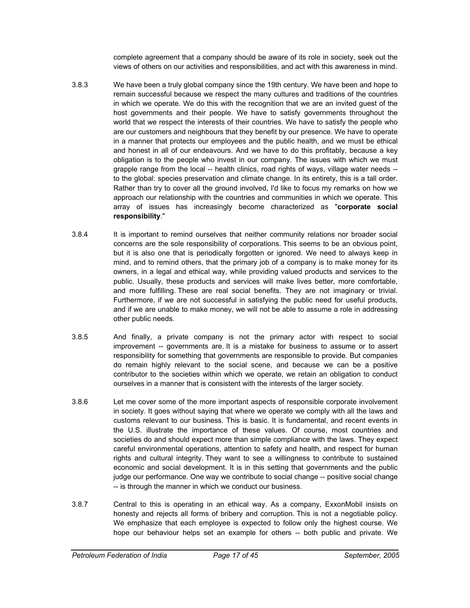complete agreement that a company should be aware of its role in society, seek out the views of others on our activities and responsibilities, and act with this awareness in mind.

- 3.8.3 We have been a truly global company since the 19th century. We have been and hope to remain successful because we respect the many cultures and traditions of the countries in which we operate. We do this with the recognition that we are an invited guest of the host governments and their people. We have to satisfy governments throughout the world that we respect the interests of their countries. We have to satisfy the people who are our customers and neighbours that they benefit by our presence. We have to operate in a manner that protects our employees and the public health, and we must be ethical and honest in all of our endeavours. And we have to do this profitably, because a key obligation is to the people who invest in our company. The issues with which we must grapple range from the local -- health clinics, road rights of ways, village water needs - to the global: species preservation and climate change. In its entirety, this is a tall order. Rather than try to cover all the ground involved, I'd like to focus my remarks on how we approach our relationship with the countries and communities in which we operate. This array of issues has increasingly become characterized as "**corporate social responsibility**."
- 3.8.4 It is important to remind ourselves that neither community relations nor broader social concerns are the sole responsibility of corporations. This seems to be an obvious point, but it is also one that is periodically forgotten or ignored. We need to always keep in mind, and to remind others, that the primary job of a company is to make money for its owners, in a legal and ethical way, while providing valued products and services to the public. Usually, these products and services will make lives better, more comfortable, and more fulfilling. These are real social benefits. They are not imaginary or trivial. Furthermore, if we are not successful in satisfying the public need for useful products, and if we are unable to make money, we will not be able to assume a role in addressing other public needs.
- 3.8.5 And finally, a private company is not the primary actor with respect to social improvement -- governments are. It is a mistake for business to assume or to assert responsibility for something that governments are responsible to provide. But companies do remain highly relevant to the social scene, and because we can be a positive contributor to the societies within which we operate, we retain an obligation to conduct ourselves in a manner that is consistent with the interests of the larger society.
- 3.8.6 Let me cover some of the more important aspects of responsible corporate involvement in society. It goes without saying that where we operate we comply with all the laws and customs relevant to our business. This is basic. It is fundamental, and recent events in the U.S. illustrate the importance of these values. Of course, most countries and societies do and should expect more than simple compliance with the laws. They expect careful environmental operations, attention to safety and health, and respect for human rights and cultural integrity. They want to see a willingness to contribute to sustained economic and social development. It is in this setting that governments and the public judge our performance. One way we contribute to social change -- positive social change -- is through the manner in which we conduct our business.
- 3.8.7 Central to this is operating in an ethical way. As a company, ExxonMobil insists on honesty and rejects all forms of bribery and corruption. This is not a negotiable policy. We emphasize that each employee is expected to follow only the highest course. We hope our behaviour helps set an example for others -- both public and private. We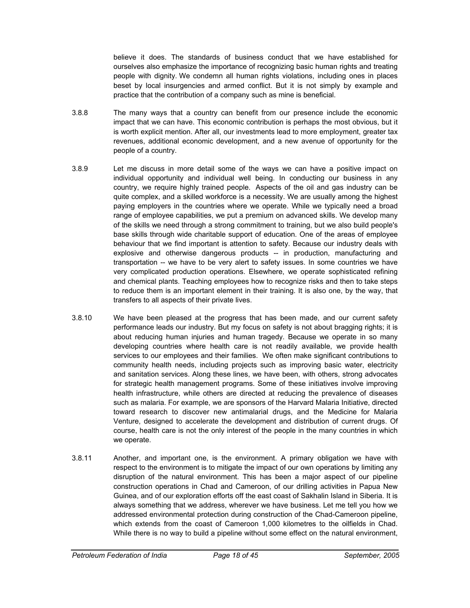believe it does. The standards of business conduct that we have established for ourselves also emphasize the importance of recognizing basic human rights and treating people with dignity. We condemn all human rights violations, including ones in places beset by local insurgencies and armed conflict. But it is not simply by example and practice that the contribution of a company such as mine is beneficial.

- 3.8.8 The many ways that a country can benefit from our presence include the economic impact that we can have. This economic contribution is perhaps the most obvious, but it is worth explicit mention. After all, our investments lead to more employment, greater tax revenues, additional economic development, and a new avenue of opportunity for the people of a country.
- 3.8.9 Let me discuss in more detail some of the ways we can have a positive impact on individual opportunity and individual well being. In conducting our business in any country, we require highly trained people. Aspects of the oil and gas industry can be quite complex, and a skilled workforce is a necessity. We are usually among the highest paying employers in the countries where we operate. While we typically need a broad range of employee capabilities, we put a premium on advanced skills. We develop many of the skills we need through a strong commitment to training, but we also build people's base skills through wide charitable support of education. One of the areas of employee behaviour that we find important is attention to safety. Because our industry deals with explosive and otherwise dangerous products -- in production, manufacturing and transportation -- we have to be very alert to safety issues. In some countries we have very complicated production operations. Elsewhere, we operate sophisticated refining and chemical plants. Teaching employees how to recognize risks and then to take steps to reduce them is an important element in their training. It is also one, by the way, that transfers to all aspects of their private lives.
- 3.8.10 We have been pleased at the progress that has been made, and our current safety performance leads our industry. But my focus on safety is not about bragging rights; it is about reducing human injuries and human tragedy. Because we operate in so many developing countries where health care is not readily available, we provide health services to our employees and their families. We often make significant contributions to community health needs, including projects such as improving basic water, electricity and sanitation services. Along these lines, we have been, with others, strong advocates for strategic health management programs. Some of these initiatives involve improving health infrastructure, while others are directed at reducing the prevalence of diseases such as malaria. For example, we are sponsors of the Harvard Malaria Initiative, directed toward research to discover new antimalarial drugs, and the Medicine for Malaria Venture, designed to accelerate the development and distribution of current drugs. Of course, health care is not the only interest of the people in the many countries in which we operate.
- 3.8.11 Another, and important one, is the environment. A primary obligation we have with respect to the environment is to mitigate the impact of our own operations by limiting any disruption of the natural environment. This has been a major aspect of our pipeline construction operations in Chad and Cameroon, of our drilling activities in Papua New Guinea, and of our exploration efforts off the east coast of Sakhalin Island in Siberia. It is always something that we address, wherever we have business. Let me tell you how we addressed environmental protection during construction of the Chad-Cameroon pipeline, which extends from the coast of Cameroon 1,000 kilometres to the oilfields in Chad. While there is no way to build a pipeline without some effect on the natural environment,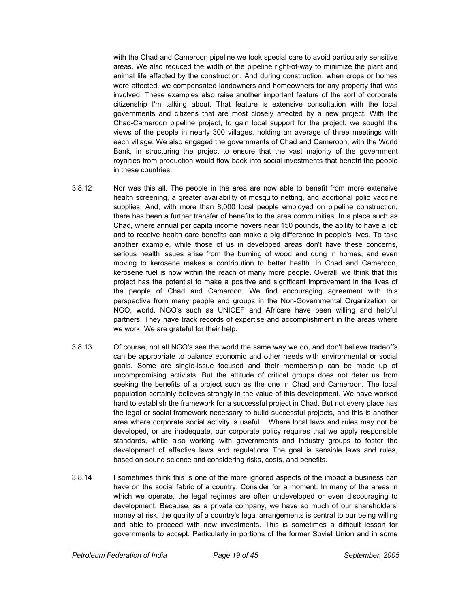with the Chad and Cameroon pipeline we took special care to avoid particularly sensitive areas. We also reduced the width of the pipeline right-of-way to minimize the plant and animal life affected by the construction. And during construction, when crops or homes were affected, we compensated landowners and homeowners for any property that was involved. These examples also raise another important feature of the sort of corporate citizenship I'm talking about. That feature is extensive consultation with the local governments and citizens that are most closely affected by a new project. With the Chad-Cameroon pipeline project, to gain local support for the project, we sought the views of the people in nearly 300 villages, holding an average of three meetings with each village. We also engaged the governments of Chad and Cameroon, with the World Bank, in structuring the project to ensure that the vast majority of the government royalties from production would flow back into social investments that benefit the people in these countries.

- 3.8.12 Nor was this all. The people in the area are now able to benefit from more extensive health screening, a greater availability of mosquito netting, and additional polio vaccine supplies. And, with more than 8,000 local people employed on pipeline construction, there has been a further transfer of benefits to the area communities. In a place such as Chad, where annual per capita income hovers near 150 pounds, the ability to have a job and to receive health care benefits can make a big difference in people's lives. To take another example, while those of us in developed areas don't have these concerns, serious health issues arise from the burning of wood and dung in homes, and even moving to kerosene makes a contribution to better health. In Chad and Cameroon, kerosene fuel is now within the reach of many more people. Overall, we think that this project has the potential to make a positive and significant improvement in the lives of the people of Chad and Cameroon. We find encouraging agreement with this perspective from many people and groups in the Non-Governmental Organization, or NGO, world. NGO's such as UNICEF and Africare have been willing and helpful partners. They have track records of expertise and accomplishment in the areas where we work. We are grateful for their help.
- 3.8.13 Of course, not all NGO's see the world the same way we do, and don't believe tradeoffs can be appropriate to balance economic and other needs with environmental or social goals. Some are single-issue focused and their membership can be made up of uncompromising activists. But the attitude of critical groups does not deter us from seeking the benefits of a project such as the one in Chad and Cameroon. The local population certainly believes strongly in the value of this development. We have worked hard to establish the framework for a successful project in Chad. But not every place has the legal or social framework necessary to build successful projects, and this is another area where corporate social activity is useful. Where local laws and rules may not be developed, or are inadequate, our corporate policy requires that we apply responsible standards, while also working with governments and industry groups to foster the development of effective laws and regulations. The goal is sensible laws and rules, based on sound science and considering risks, costs, and benefits.
- 3.8.14 I sometimes think this is one of the more ignored aspects of the impact a business can have on the social fabric of a country. Consider for a moment. In many of the areas in which we operate, the legal regimes are often undeveloped or even discouraging to development. Because, as a private company, we have so much of our shareholders' money at risk, the quality of a country's legal arrangements is central to our being willing and able to proceed with new investments. This is sometimes a difficult lesson for governments to accept. Particularly in portions of the former Soviet Union and in some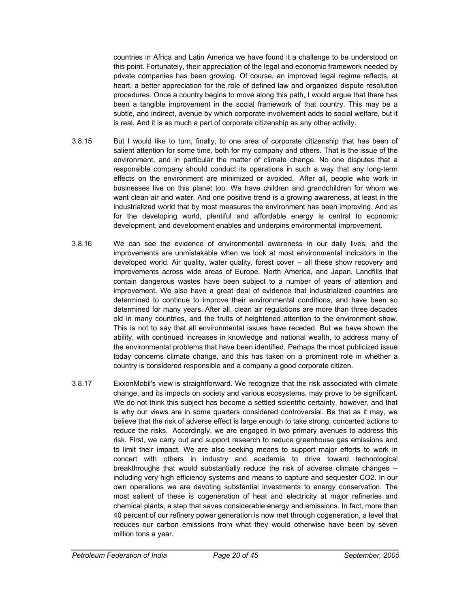countries in Africa and Latin America we have found it a challenge to be understood on this point. Fortunately, their appreciation of the legal and economic framework needed by private companies has been growing. Of course, an improved legal regime reflects, at heart, a better appreciation for the role of defined law and organized dispute resolution procedures. Once a country begins to move along this path, I would argue that there has been a tangible improvement in the social framework of that country. This may be a subtle, and indirect, avenue by which corporate involvement adds to social welfare, but it is real. And it is as much a part of corporate citizenship as any other activity.

- 3.8.15 But I would like to turn, finally, to one area of corporate citizenship that has been of salient attention for some time, both for my company and others. That is the issue of the environment, and in particular the matter of climate change. No one disputes that a responsible company should conduct its operations in such a way that any long-term effects on the environment are minimized or avoided. After all, people who work in businesses live on this planet too. We have children and grandchildren for whom we want clean air and water. And one positive trend is a growing awareness, at least in the industrialized world that by most measures the environment has been improving. And as for the developing world, plentiful and affordable energy is central to economic development, and development enables and underpins environmental improvement.
- 3.8.16 We can see the evidence of environmental awareness in our daily lives, and the improvements are unmistakable when we look at most environmental indicators in the developed world. Air quality, water quality, forest cover -- all these show recovery and improvements across wide areas of Europe, North America, and Japan. Landfills that contain dangerous wastes have been subject to a number of years of attention and improvement. We also have a great deal of evidence that industrialized countries are determined to continue to improve their environmental conditions, and have been so determined for many years. After all, clean air regulations are more than three decades old in many countries, and the fruits of heightened attention to the environment show. This is not to say that all environmental issues have receded. But we have shown the ability, with continued increases in knowledge and national wealth, to address many of the environmental problems that have been identified. Perhaps the most publicized issue today concerns climate change, and this has taken on a prominent role in whether a country is considered responsible and a company a good corporate citizen.
- 3.8.17 ExxonMobil's view is straightforward. We recognize that the risk associated with climate change, and its impacts on society and various ecosystems, may prove to be significant. We do not think this subject has become a settled scientific certainty, however, and that is why our views are in some quarters considered controversial. Be that as it may, we believe that the risk of adverse effect is large enough to take strong, concerted actions to reduce the risks. Accordingly, we are engaged in two primary avenues to address this risk. First, we carry out and support research to reduce greenhouse gas emissions and to limit their impact. We are also seeking means to support major efforts to work in concert with others in industry and academia to drive toward technological breakthroughs that would substantially reduce the risk of adverse climate changes - including very high efficiency systems and means to capture and sequester CO2. In our own operations we are devoting substantial investments to energy conservation. The most salient of these is cogeneration of heat and electricity at major refineries and chemical plants, a step that saves considerable energy and emissions. In fact, more than 40 percent of our refinery power generation is now met through cogeneration, a level that reduces our carbon emissions from what they would otherwise have been by seven million tons a year.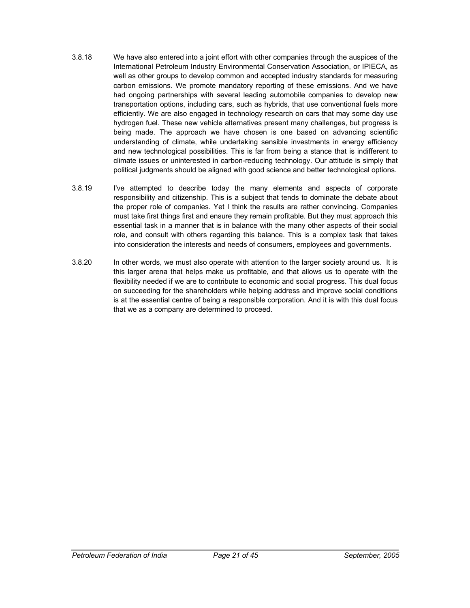- 3.8.18 We have also entered into a joint effort with other companies through the auspices of the International Petroleum Industry Environmental Conservation Association, or IPIECA, as well as other groups to develop common and accepted industry standards for measuring carbon emissions. We promote mandatory reporting of these emissions. And we have had ongoing partnerships with several leading automobile companies to develop new transportation options, including cars, such as hybrids, that use conventional fuels more efficiently. We are also engaged in technology research on cars that may some day use hydrogen fuel. These new vehicle alternatives present many challenges, but progress is being made. The approach we have chosen is one based on advancing scientific understanding of climate, while undertaking sensible investments in energy efficiency and new technological possibilities. This is far from being a stance that is indifferent to climate issues or uninterested in carbon-reducing technology. Our attitude is simply that political judgments should be aligned with good science and better technological options.
- 3.8.19 I've attempted to describe today the many elements and aspects of corporate responsibility and citizenship. This is a subject that tends to dominate the debate about the proper role of companies. Yet I think the results are rather convincing. Companies must take first things first and ensure they remain profitable. But they must approach this essential task in a manner that is in balance with the many other aspects of their social role, and consult with others regarding this balance. This is a complex task that takes into consideration the interests and needs of consumers, employees and governments.
- 3.8.20 In other words, we must also operate with attention to the larger society around us. It is this larger arena that helps make us profitable, and that allows us to operate with the flexibility needed if we are to contribute to economic and social progress. This dual focus on succeeding for the shareholders while helping address and improve social conditions is at the essential centre of being a responsible corporation. And it is with this dual focus that we as a company are determined to proceed.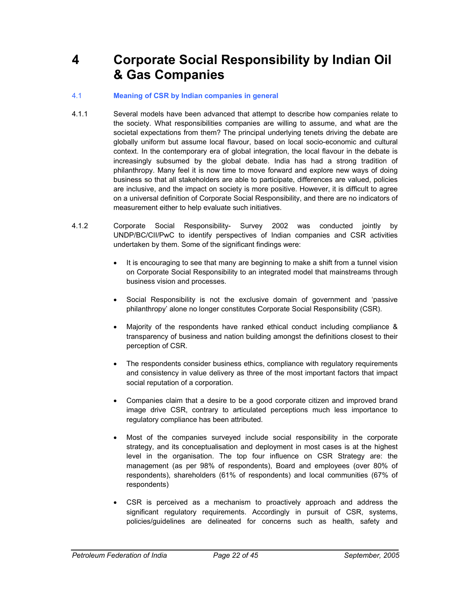### **4 Corporate Social Responsibility by Indian Oil & Gas Companies**

#### 4.1 **Meaning of CSR by Indian companies in general**

- 4.1.1 Several models have been advanced that attempt to describe how companies relate to the society. What responsibilities companies are willing to assume, and what are the societal expectations from them? The principal underlying tenets driving the debate are globally uniform but assume local flavour, based on local socio-economic and cultural context. In the contemporary era of global integration, the local flavour in the debate is increasingly subsumed by the global debate. India has had a strong tradition of philanthropy. Many feel it is now time to move forward and explore new ways of doing business so that all stakeholders are able to participate, differences are valued, policies are inclusive, and the impact on society is more positive. However, it is difficult to agree on a universal definition of Corporate Social Responsibility, and there are no indicators of measurement either to help evaluate such initiatives.
- 4.1.2 Corporate Social Responsibility- Survey 2002 was conducted jointly by UNDP/BC/CII/PwC to identify perspectives of Indian companies and CSR activities undertaken by them. Some of the significant findings were:
	- It is encouraging to see that many are beginning to make a shift from a tunnel vision on Corporate Social Responsibility to an integrated model that mainstreams through business vision and processes.
	- Social Responsibility is not the exclusive domain of government and 'passive philanthropy' alone no longer constitutes Corporate Social Responsibility (CSR).
	- Majority of the respondents have ranked ethical conduct including compliance & transparency of business and nation building amongst the definitions closest to their perception of CSR.
	- The respondents consider business ethics, compliance with regulatory requirements and consistency in value delivery as three of the most important factors that impact social reputation of a corporation.
	- Companies claim that a desire to be a good corporate citizen and improved brand image drive CSR, contrary to articulated perceptions much less importance to regulatory compliance has been attributed.
	- Most of the companies surveyed include social responsibility in the corporate strategy, and its conceptualisation and deployment in most cases is at the highest level in the organisation. The top four influence on CSR Strategy are: the management (as per 98% of respondents), Board and employees (over 80% of respondents), shareholders (61% of respondents) and local communities (67% of respondents)
	- CSR is perceived as a mechanism to proactively approach and address the significant regulatory requirements. Accordingly in pursuit of CSR, systems, policies/guidelines are delineated for concerns such as health, safety and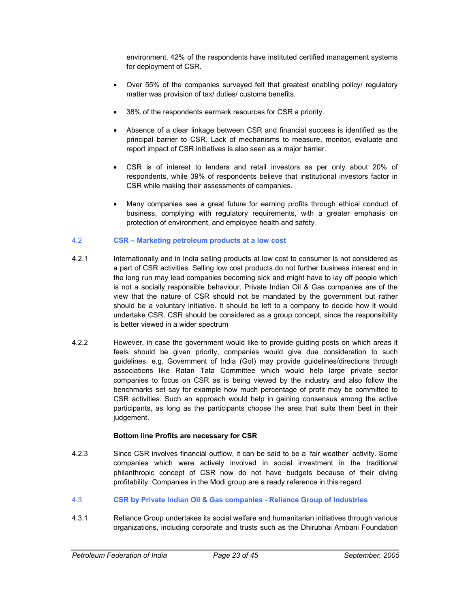environment. 42% of the respondents have instituted certified management systems for deployment of CSR.

- Over 55% of the companies surveyed felt that greatest enabling policy/ regulatory matter was provision of tax/ duties/ customs benefits.
- 38% of the respondents earmark resources for CSR a priority.
- Absence of a clear linkage between CSR and financial success is identified as the principal barrier to CSR. Lack of mechanisms to measure, monitor, evaluate and report impact of CSR initiatives is also seen as a major barrier.
- CSR is of interest to lenders and retail investors as per only about 20% of respondents, while 39% of respondents believe that institutional investors factor in CSR while making their assessments of companies.
- Many companies see a great future for earning profits through ethical conduct of business, complying with regulatory requirements, with a greater emphasis on protection of environment, and employee health and safety.

#### 4.2 **CSR – Marketing petroleum products at a low cost**

- 4.2.1 Internationally and in India selling products at low cost to consumer is not considered as a part of CSR activities. Selling low cost products do not further business interest and in the long run may lead companies becoming sick and might have to lay off people which is not a socially responsible behaviour. Private Indian Oil & Gas companies are of the view that the nature of CSR should not be mandated by the government but rather should be a voluntary initiative. It should be left to a company to decide how it would undertake CSR. CSR should be considered as a group concept, since the responsibility is better viewed in a wider spectrum
- 4.2.2 However, in case the government would like to provide guiding posts on which areas it feels should be given priority, companies would give due consideration to such guidelines. e.g. Government of India (GoI) may provide guidelines/directions through associations like Ratan Tata Committee which would help large private sector companies to focus on CSR as is being viewed by the industry and also follow the benchmarks set say for example how much percentage of profit may be committed to CSR activities. Such an approach would help in gaining consensus among the active participants, as long as the participants choose the area that suits them best in their judgement.

#### **Bottom line Profits are necessary for CSR**

- 4.2.3 Since CSR involves financial outflow, it can be said to be a 'fair weather' activity. Some companies which were actively involved in social investment in the traditional philanthropic concept of CSR now do not have budgets because of their diving profitability. Companies in the Modi group are a ready reference in this regard.
- 4.3 **CSR by Private Indian Oil & Gas companies Reliance Group of Industries**
- 4.3.1 Reliance Group undertakes its social welfare and humanitarian initiatives through various organizations, including corporate and trusts such as the Dhirubhai Ambani Foundation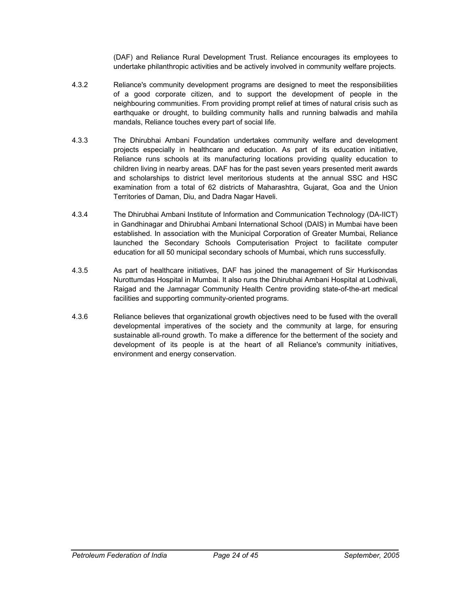(DAF) and Reliance Rural Development Trust. Reliance encourages its employees to undertake philanthropic activities and be actively involved in community welfare projects.

- 4.3.2 Reliance's community development programs are designed to meet the responsibilities of a good corporate citizen, and to support the development of people in the neighbouring communities. From providing prompt relief at times of natural crisis such as earthquake or drought, to building community halls and running balwadis and mahila mandals, Reliance touches every part of social life.
- 4.3.3 The Dhirubhai Ambani Foundation undertakes community welfare and development projects especially in healthcare and education. As part of its education initiative, Reliance runs schools at its manufacturing locations providing quality education to children living in nearby areas. DAF has for the past seven years presented merit awards and scholarships to district level meritorious students at the annual SSC and HSC examination from a total of 62 districts of Maharashtra, Gujarat, Goa and the Union Territories of Daman, Diu, and Dadra Nagar Haveli.
- 4.3.4 The Dhirubhai Ambani Institute of Information and Communication Technology (DA-IICT) in Gandhinagar and Dhirubhai Ambani International School (DAIS) in Mumbai have been established. In association with the Municipal Corporation of Greater Mumbai, Reliance launched the Secondary Schools Computerisation Project to facilitate computer education for all 50 municipal secondary schools of Mumbai, which runs successfully.
- 4.3.5 As part of healthcare initiatives, DAF has joined the management of Sir Hurkisondas Nurottumdas Hospital in Mumbai. It also runs the Dhirubhai Ambani Hospital at Lodhivali, Raigad and the Jamnagar Community Health Centre providing state-of-the-art medical facilities and supporting community-oriented programs.
- 4.3.6 Reliance believes that organizational growth objectives need to be fused with the overall developmental imperatives of the society and the community at large, for ensuring sustainable all-round growth. To make a difference for the betterment of the society and development of its people is at the heart of all Reliance's community initiatives, environment and energy conservation.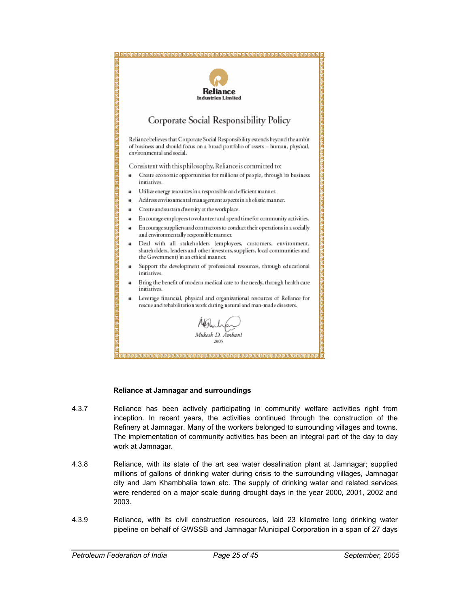

#### **Reliance at Jamnagar and surroundings**

- 4.3.7 Reliance has been actively participating in community welfare activities right from inception. In recent years, the activities continued through the construction of the Refinery at Jamnagar. Many of the workers belonged to surrounding villages and towns. The implementation of community activities has been an integral part of the day to day work at Jamnagar.
- 4.3.8 Reliance, with its state of the art sea water desalination plant at Jamnagar; supplied millions of gallons of drinking water during crisis to the surrounding villages, Jamnagar city and Jam Khambhalia town etc. The supply of drinking water and related services were rendered on a major scale during drought days in the year 2000, 2001, 2002 and 2003.
- 4.3.9 Reliance, with its civil construction resources, laid 23 kilometre long drinking water pipeline on behalf of GWSSB and Jamnagar Municipal Corporation in a span of 27 days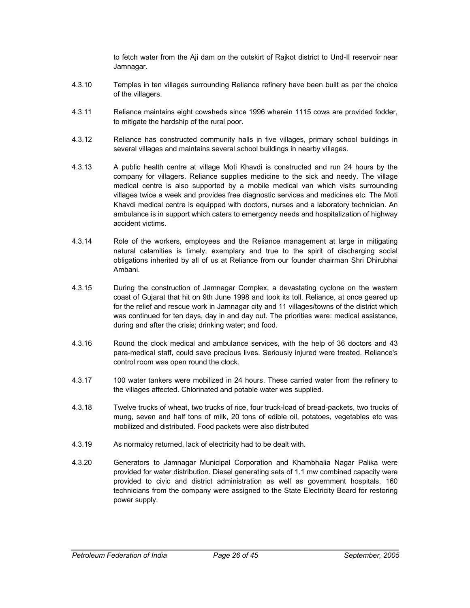to fetch water from the Aji dam on the outskirt of Rajkot district to Und-II reservoir near Jamnagar.

- 4.3.10 Temples in ten villages surrounding Reliance refinery have been built as per the choice of the villagers.
- 4.3.11 Reliance maintains eight cowsheds since 1996 wherein 1115 cows are provided fodder, to mitigate the hardship of the rural poor.
- 4.3.12 Reliance has constructed community halls in five villages, primary school buildings in several villages and maintains several school buildings in nearby villages.
- 4.3.13 A public health centre at village Moti Khavdi is constructed and run 24 hours by the company for villagers. Reliance supplies medicine to the sick and needy. The village medical centre is also supported by a mobile medical van which visits surrounding villages twice a week and provides free diagnostic services and medicines etc. The Moti Khavdi medical centre is equipped with doctors, nurses and a laboratory technician. An ambulance is in support which caters to emergency needs and hospitalization of highway accident victims.
- 4.3.14 Role of the workers, employees and the Reliance management at large in mitigating natural calamities is timely, exemplary and true to the spirit of discharging social obligations inherited by all of us at Reliance from our founder chairman Shri Dhirubhai Ambani.
- 4.3.15 During the construction of Jamnagar Complex, a devastating cyclone on the western coast of Gujarat that hit on 9th June 1998 and took its toll. Reliance, at once geared up for the relief and rescue work in Jamnagar city and 11 villages/towns of the district which was continued for ten days, day in and day out. The priorities were: medical assistance, during and after the crisis; drinking water; and food.
- 4.3.16 Round the clock medical and ambulance services, with the help of 36 doctors and 43 para-medical staff, could save precious lives. Seriously injured were treated. Reliance's control room was open round the clock.
- 4.3.17 100 water tankers were mobilized in 24 hours. These carried water from the refinery to the villages affected. Chlorinated and potable water was supplied.
- 4.3.18 Twelve trucks of wheat, two trucks of rice, four truck-load of bread-packets, two trucks of mung, seven and half tons of milk, 20 tons of edible oil, potatoes, vegetables etc was mobilized and distributed. Food packets were also distributed
- 4.3.19 As normalcy returned, lack of electricity had to be dealt with.
- 4.3.20 Generators to Jamnagar Municipal Corporation and Khambhalia Nagar Palika were provided for water distribution. Diesel generating sets of 1.1 mw combined capacity were provided to civic and district administration as well as government hospitals. 160 technicians from the company were assigned to the State Electricity Board for restoring power supply.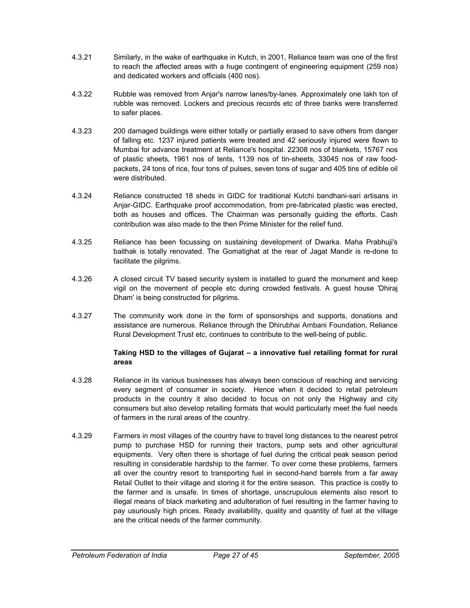- 4.3.21 Similarly, in the wake of earthquake in Kutch, in 2001, Reliance team was one of the first to reach the affected areas with a huge contingent of engineering equipment (259 nos) and dedicated workers and officials (400 nos).
- 4.3.22 Rubble was removed from Anjar's narrow lanes/by-lanes. Approximately one lakh ton of rubble was removed. Lockers and precious records etc of three banks were transferred to safer places.
- 4.3.23 200 damaged buildings were either totally or partially erased to save others from danger of falling etc. 1237 injured patients were treated and 42 seriously injured were flown to Mumbai for advance treatment at Reliance's hospital. 22308 nos of blankets, 15767 nos of plastic sheets, 1961 nos of tents, 1139 nos of tin-sheets, 33045 nos of raw foodpackets, 24 tons of rice, four tons of pulses, seven tons of sugar and 405 tins of edible oil were distributed.
- 4.3.24 Reliance constructed 18 sheds in GIDC for traditional Kutchi bandhani-sari artisans in Anjar-GIDC. Earthquake proof accommodation, from pre-fabricated plastic was erected, both as houses and offices. The Chairman was personally guiding the efforts. Cash contribution was also made to the then Prime Minister for the relief fund.
- 4.3.25 Reliance has been focussing on sustaining development of Dwarka. Maha Prabhuji's baithak is totally renovated. The Gomatighat at the rear of Jagat Mandir is re-done to facilitate the pilgrims.
- 4.3.26 A closed circuit TV based security system is installed to guard the monument and keep vigil on the movement of people etc during crowded festivals. A guest house 'Dhiraj Dham' is being constructed for pilgrims.
- 4.3.27 The community work done in the form of sponsorships and supports, donations and assistance are numerous. Reliance through the Dhirubhai Ambani Foundation, Reliance Rural Development Trust etc, continues to contribute to the well-being of public.

#### **Taking HSD to the villages of Gujarat – a innovative fuel retailing format for rural areas**

- 4.3.28 Reliance in its various businesses has always been conscious of reaching and servicing every segment of consumer in society. Hence when it decided to retail petroleum products in the country it also decided to focus on not only the Highway and city consumers but also develop retailing formats that would particularly meet the fuel needs of farmers in the rural areas of the country.
- 4.3.29 Farmers in most villages of the country have to travel long distances to the nearest petrol pump to purchase HSD for running their tractors, pump sets and other agricultural equipments. Very often there is shortage of fuel during the critical peak season period resulting in considerable hardship to the farmer. To over come these problems, farmers all over the country resort to transporting fuel in second-hand barrels from a far away Retail Outlet to their village and storing it for the entire season. This practice is costly to the farmer and is unsafe. In times of shortage, unscrupulous elements also resort to illegal means of black marketing and adulteration of fuel resulting in the farmer having to pay usuriously high prices. Ready availability, quality and quantity of fuel at the village are the critical needs of the farmer community.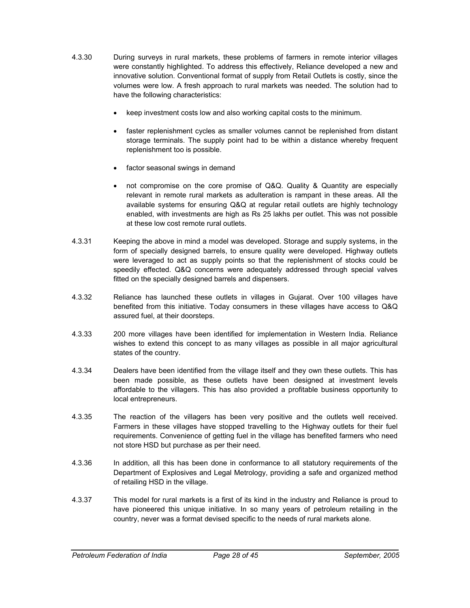- 4.3.30 During surveys in rural markets, these problems of farmers in remote interior villages were constantly highlighted. To address this effectively, Reliance developed a new and innovative solution. Conventional format of supply from Retail Outlets is costly, since the volumes were low. A fresh approach to rural markets was needed. The solution had to have the following characteristics:
	- keep investment costs low and also working capital costs to the minimum.
	- faster replenishment cycles as smaller volumes cannot be replenished from distant storage terminals. The supply point had to be within a distance whereby frequent replenishment too is possible.
	- factor seasonal swings in demand
	- not compromise on the core promise of Q&Q. Quality & Quantity are especially relevant in remote rural markets as adulteration is rampant in these areas. All the available systems for ensuring Q&Q at regular retail outlets are highly technology enabled, with investments are high as Rs 25 lakhs per outlet. This was not possible at these low cost remote rural outlets.
- 4.3.31 Keeping the above in mind a model was developed. Storage and supply systems, in the form of specially designed barrels, to ensure quality were developed. Highway outlets were leveraged to act as supply points so that the replenishment of stocks could be speedily effected. Q&Q concerns were adequately addressed through special valves fitted on the specially designed barrels and dispensers.
- 4.3.32 Reliance has launched these outlets in villages in Gujarat. Over 100 villages have benefited from this initiative. Today consumers in these villages have access to Q&Q assured fuel, at their doorsteps.
- 4.3.33 200 more villages have been identified for implementation in Western India. Reliance wishes to extend this concept to as many villages as possible in all major agricultural states of the country.
- 4.3.34 Dealers have been identified from the village itself and they own these outlets. This has been made possible, as these outlets have been designed at investment levels affordable to the villagers. This has also provided a profitable business opportunity to local entrepreneurs.
- 4.3.35 The reaction of the villagers has been very positive and the outlets well received. Farmers in these villages have stopped travelling to the Highway outlets for their fuel requirements. Convenience of getting fuel in the village has benefited farmers who need not store HSD but purchase as per their need.
- 4.3.36 In addition, all this has been done in conformance to all statutory requirements of the Department of Explosives and Legal Metrology, providing a safe and organized method of retailing HSD in the village.
- 4.3.37 This model for rural markets is a first of its kind in the industry and Reliance is proud to have pioneered this unique initiative. In so many years of petroleum retailing in the country, never was a format devised specific to the needs of rural markets alone.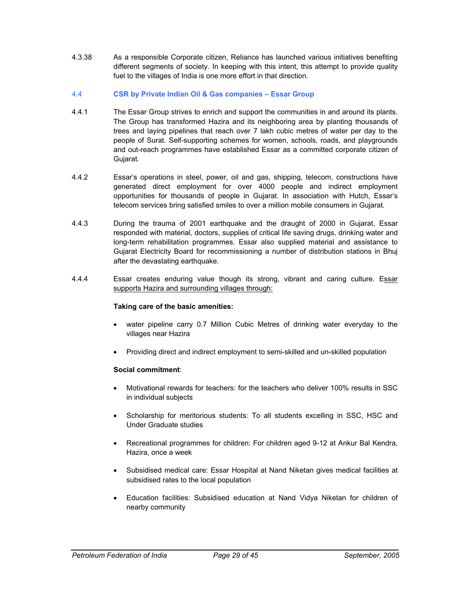4.3.38 As a responsible Corporate citizen, Reliance has launched various initiatives benefiting different segments of society. In keeping with this intent, this attempt to provide quality fuel to the villages of India is one more effort in that direction.

#### 4.4 **CSR by Private Indian Oil & Gas companies – Essar Group**

- 4.4.1 The Essar Group strives to enrich and support the communities in and around its plants. The Group has transformed Hazira and its neighboring area by planting thousands of trees and laying pipelines that reach over 7 lakh cubic metres of water per day to the people of Surat. Self-supporting schemes for women, schools, roads, and playgrounds and out-reach programmes have established Essar as a committed corporate citizen of Gujarat.
- 4.4.2 Essar's operations in steel, power, oil and gas, shipping, telecom, constructions have generated direct employment for over 4000 people and indirect employment opportunities for thousands of people in Gujarat. In association with Hutch, Essar's telecom services bring satisfied smiles to over a million mobile consumers in Gujarat.
- 4.4.3 During the trauma of 2001 earthquake and the draught of 2000 in Gujarat, Essar responded with material, doctors, supplies of critical life saving drugs, drinking water and long-term rehabilitation programmes. Essar also supplied material and assistance to Gujarat Electricity Board for recommissioning a number of distribution stations in Bhuj after the devastating earthquake.
- 4.4.4 Essar creates enduring value though its strong, vibrant and caring culture. Essar supports Hazira and surrounding villages through:

#### **Taking care of the basic amenities:**

- water pipeline carry 0.7 Million Cubic Metres of drinking water everyday to the villages near Hazira
- Providing direct and indirect employment to semi-skilled and un-skilled population

#### **Social commitment**:

- Motivational rewards for teachers: for the teachers who deliver 100% results in SSC in individual subjects
- Scholarship for meritorious students: To all students excelling in SSC, HSC and Under Graduate studies
- Recreational programmes for children: For children aged 9-12 at Ankur Bal Kendra, Hazira, once a week
- Subsidised medical care: Essar Hospital at Nand Niketan gives medical facilities at subsidised rates to the local population
- Education facilities: Subsidised education at Nand Vidya Niketan for children of nearby community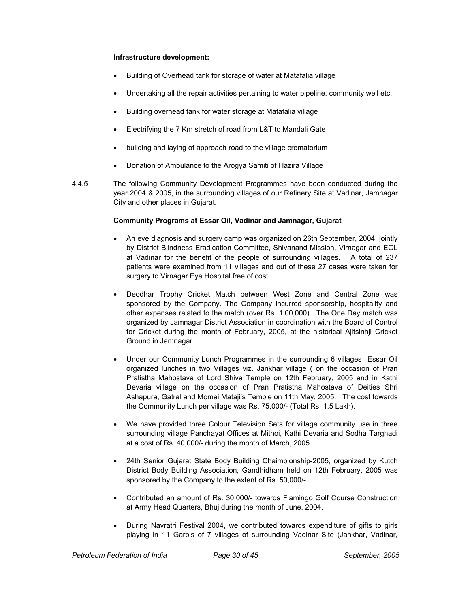#### **Infrastructure development:**

- Building of Overhead tank for storage of water at Matafalia village
- Undertaking all the repair activities pertaining to water pipeline, community well etc.
- Building overhead tank for water storage at Matafalia village
- Electrifying the 7 Km stretch of road from L&T to Mandali Gate
- building and laying of approach road to the village crematorium
- Donation of Ambulance to the Arogya Samiti of Hazira Village
- 4.4.5 The following Community Development Programmes have been conducted during the year 2004 & 2005, in the surrounding villages of our Refinery Site at Vadinar, Jamnagar City and other places in Gujarat.

#### **Community Programs at Essar Oil, Vadinar and Jamnagar, Gujarat**

- An eye diagnosis and surgery camp was organized on 26th September, 2004, jointly by District Blindness Eradication Committee, Shivanand Mission, Virnagar and EOL at Vadinar for the benefit of the people of surrounding villages. A total of 237 patients were examined from 11 villages and out of these 27 cases were taken for surgery to Virnagar Eye Hospital free of cost.
- Deodhar Trophy Cricket Match between West Zone and Central Zone was sponsored by the Company. The Company incurred sponsorship, hospitality and other expenses related to the match (over Rs. 1,00,000). The One Day match was organized by Jamnagar District Association in coordination with the Board of Control for Cricket during the month of February, 2005, at the historical Ajitsinhji Cricket Ground in Jamnagar.
- Under our Community Lunch Programmes in the surrounding 6 villages Essar Oil organized lunches in two Villages viz. Jankhar village ( on the occasion of Pran Pratistha Mahostava of Lord Shiva Temple on 12th February, 2005 and in Kathi Devaria village on the occasion of Pran Pratistha Mahostava of Deities Shri Ashapura, Gatral and Momai Mataji's Temple on 11th May, 2005. The cost towards the Community Lunch per village was Rs. 75,000/- (Total Rs. 1.5 Lakh).
- We have provided three Colour Television Sets for village community use in three surrounding village Panchayat Offices at Mithoi, Kathi Devaria and Sodha Targhadi at a cost of Rs. 40,000/- during the month of March, 2005.
- 24th Senior Gujarat State Body Building Chaimpionship-2005, organized by Kutch District Body Building Association, Gandhidham held on 12th February, 2005 was sponsored by the Company to the extent of Rs. 50,000/-.
- Contributed an amount of Rs. 30,000/- towards Flamingo Golf Course Construction at Army Head Quarters, Bhuj during the month of June, 2004.
- During Navratri Festival 2004, we contributed towards expenditure of gifts to girls playing in 11 Garbis of 7 villages of surrounding Vadinar Site (Jankhar, Vadinar,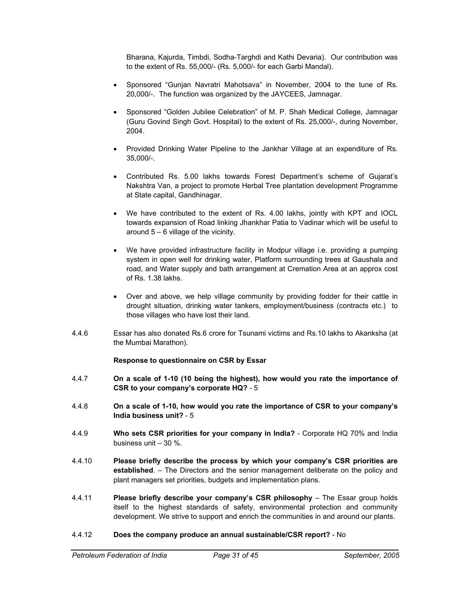Bharana, Kajurda, Timbdi, Sodha-Targhdi and Kathi Devaria). Our contribution was to the extent of Rs. 55,000/- (Rs. 5,000/- for each Garbi Mandal).

- Sponsored "Gunjan Navratri Mahotsava" in November, 2004 to the tune of Rs. 20,000/-. The function was organized by the JAYCEES, Jamnagar.
- Sponsored "Golden Jubilee Celebration" of M. P. Shah Medical College, Jamnagar (Guru Govind Singh Govt. Hospital) to the extent of Rs. 25,000/-, during November, 2004.
- Provided Drinking Water Pipeline to the Jankhar Village at an expenditure of Rs. 35,000/-.
- Contributed Rs. 5.00 lakhs towards Forest Department's scheme of Gujarat's Nakshtra Van, a project to promote Herbal Tree plantation development Programme at State capital, Gandhinagar.
- We have contributed to the extent of Rs. 4.00 lakhs, jointly with KPT and IOCL towards expansion of Road linking Jhankhar Patia to Vadinar which will be useful to around  $5 - 6$  village of the vicinity.
- We have provided infrastructure facility in Modpur village i.e. providing a pumping system in open well for drinking water, Platform surrounding trees at Gaushala and road, and Water supply and bath arrangement at Cremation Area at an approx cost of Rs. 1.38 lakhs.
- Over and above, we help village community by providing fodder for their cattle in drought situation, drinking water tankers, employment/business (contracts etc.) to those villages who have lost their land.
- 4.4.6 Essar has also donated Rs.6 crore for Tsunami victims and Rs.10 lakhs to Akanksha (at the Mumbai Marathon).

#### **Response to questionnaire on CSR by Essar**

- 4.4.7 **On a scale of 1-10 (10 being the highest), how would you rate the importance of CSR to your company's corporate HQ?** - 5
- 4.4.8 **On a scale of 1-10, how would you rate the importance of CSR to your company's India business unit?** - 5
- 4.4.9 **Who sets CSR priorities for your company in India?** Corporate HQ 70% and India business unit – 30 %.
- 4.4.10 **Please briefly describe the process by which your company's CSR priorities are established**. – The Directors and the senior management deliberate on the policy and plant managers set priorities, budgets and implementation plans.
- 4.4.11 **Please briefly describe your company's CSR philosophy** The Essar group holds itself to the highest standards of safety, environmental protection and community development. We strive to support and enrich the communities in and around our plants.

#### 4.4.12 **Does the company produce an annual sustainable/CSR report?** - No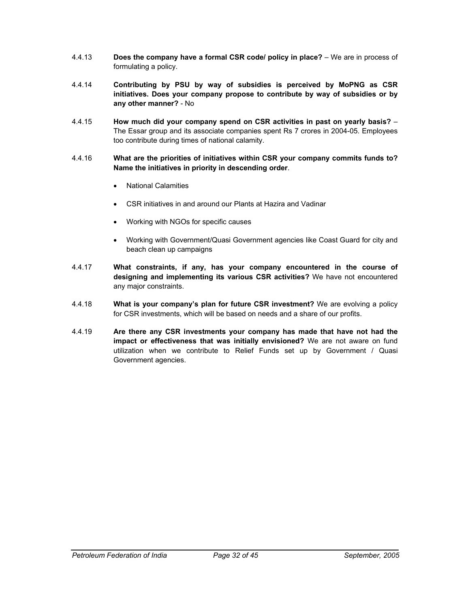- 4.4.13 **Does the company have a formal CSR code/ policy in place?** We are in process of formulating a policy.
- 4.4.14 **Contributing by PSU by way of subsidies is perceived by MoPNG as CSR initiatives. Does your company propose to contribute by way of subsidies or by any other manner?** - No
- 4.4.15 **How much did your company spend on CSR activities in past on yearly basis?** The Essar group and its associate companies spent Rs 7 crores in 2004-05. Employees too contribute during times of national calamity.
- 4.4.16 **What are the priorities of initiatives within CSR your company commits funds to? Name the initiatives in priority in descending order**.
	- National Calamities
	- CSR initiatives in and around our Plants at Hazira and Vadinar
	- Working with NGOs for specific causes
	- Working with Government/Quasi Government agencies like Coast Guard for city and beach clean up campaigns
- 4.4.17 **What constraints, if any, has your company encountered in the course of designing and implementing its various CSR activities?** We have not encountered any major constraints.
- 4.4.18 **What is your company's plan for future CSR investment?** We are evolving a policy for CSR investments, which will be based on needs and a share of our profits.
- 4.4.19 **Are there any CSR investments your company has made that have not had the impact or effectiveness that was initially envisioned?** We are not aware on fund utilization when we contribute to Relief Funds set up by Government / Quasi Government agencies.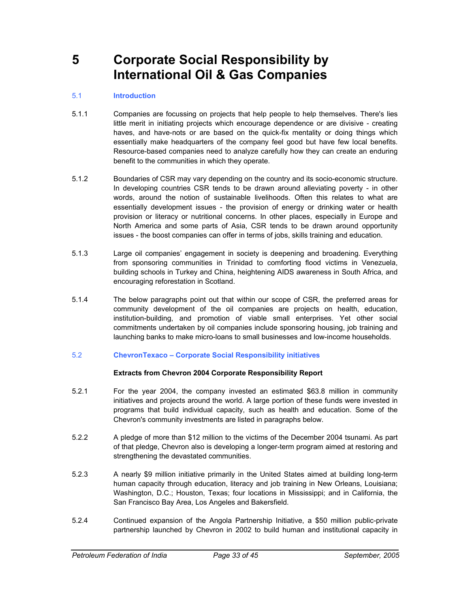### **5 Corporate Social Responsibility by International Oil & Gas Companies**

#### 5.1 **Introduction**

- 5.1.1 Companies are focussing on projects that help people to help themselves. There's lies little merit in initiating projects which encourage dependence or are divisive - creating haves, and have-nots or are based on the quick-fix mentality or doing things which essentially make headquarters of the company feel good but have few local benefits. Resource-based companies need to analyze carefully how they can create an enduring benefit to the communities in which they operate.
- 5.1.2 Boundaries of CSR may vary depending on the country and its socio-economic structure. In developing countries CSR tends to be drawn around alleviating poverty - in other words, around the notion of sustainable livelihoods. Often this relates to what are essentially development issues - the provision of energy or drinking water or health provision or literacy or nutritional concerns. In other places, especially in Europe and North America and some parts of Asia, CSR tends to be drawn around opportunity issues - the boost companies can offer in terms of jobs, skills training and education.
- 5.1.3 Large oil companies' engagement in society is deepening and broadening. Everything from sponsoring communities in Trinidad to comforting flood victims in Venezuela, building schools in Turkey and China, heightening AIDS awareness in South Africa, and encouraging reforestation in Scotland.
- 5.1.4 The below paragraphs point out that within our scope of CSR, the preferred areas for community development of the oil companies are projects on health, education, institution-building, and promotion of viable small enterprises. Yet other social commitments undertaken by oil companies include sponsoring housing, job training and launching banks to make micro-loans to small businesses and low-income households.
- 5.2 **ChevronTexaco Corporate Social Responsibility initiatives**

#### **Extracts from Chevron 2004 Corporate Responsibility Report**

- 5.2.1 For the year 2004, the company invested an estimated \$63.8 million in community initiatives and projects around the world. A large portion of these funds were invested in programs that build individual capacity, such as health and education. Some of the Chevron's community investments are listed in paragraphs below.
- 5.2.2 A pledge of more than \$12 million to the victims of the December 2004 tsunami. As part of that pledge, Chevron also is developing a longer-term program aimed at restoring and strengthening the devastated communities.
- 5.2.3 A nearly \$9 million initiative primarily in the United States aimed at building long-term human capacity through education, literacy and job training in New Orleans, Louisiana; Washington, D.C.; Houston, Texas; four locations in Mississippi; and in California, the San Francisco Bay Area, Los Angeles and Bakersfield.
- 5.2.4 Continued expansion of the Angola Partnership Initiative, a \$50 million public-private partnership launched by Chevron in 2002 to build human and institutional capacity in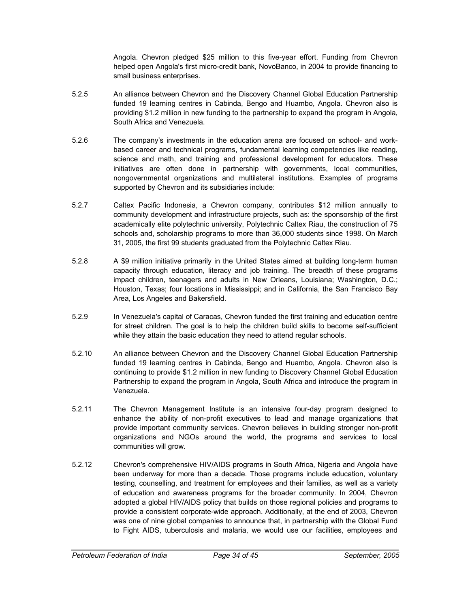Angola. Chevron pledged \$25 million to this five-year effort. Funding from Chevron helped open Angola's first micro-credit bank, NovoBanco, in 2004 to provide financing to small business enterprises.

- 5.2.5 An alliance between Chevron and the Discovery Channel Global Education Partnership funded 19 learning centres in Cabinda, Bengo and Huambo, Angola. Chevron also is providing \$1.2 million in new funding to the partnership to expand the program in Angola, South Africa and Venezuela.
- 5.2.6 The company's investments in the education arena are focused on school- and workbased career and technical programs, fundamental learning competencies like reading, science and math, and training and professional development for educators. These initiatives are often done in partnership with governments, local communities, nongovernmental organizations and multilateral institutions. Examples of programs supported by Chevron and its subsidiaries include:
- 5.2.7 Caltex Pacific Indonesia, a Chevron company, contributes \$12 million annually to community development and infrastructure projects, such as: the sponsorship of the first academically elite polytechnic university, Polytechnic Caltex Riau, the construction of 75 schools and, scholarship programs to more than 36,000 students since 1998. On March 31, 2005, the first 99 students graduated from the Polytechnic Caltex Riau.
- 5.2.8 A \$9 million initiative primarily in the United States aimed at building long-term human capacity through education, literacy and job training. The breadth of these programs impact children, teenagers and adults in New Orleans, Louisiana; Washington, D.C.; Houston, Texas; four locations in Mississippi; and in California, the San Francisco Bay Area, Los Angeles and Bakersfield.
- 5.2.9 In Venezuela's capital of Caracas, Chevron funded the first training and education centre for street children. The goal is to help the children build skills to become self-sufficient while they attain the basic education they need to attend regular schools.
- 5.2.10 An alliance between Chevron and the Discovery Channel Global Education Partnership funded 19 learning centres in Cabinda, Bengo and Huambo, Angola. Chevron also is continuing to provide \$1.2 million in new funding to Discovery Channel Global Education Partnership to expand the program in Angola, South Africa and introduce the program in Venezuela.
- 5.2.11 The Chevron Management Institute is an intensive four-day program designed to enhance the ability of non-profit executives to lead and manage organizations that provide important community services. Chevron believes in building stronger non-profit organizations and NGOs around the world, the programs and services to local communities will grow.
- 5.2.12 Chevron's comprehensive HIV/AIDS programs in South Africa, Nigeria and Angola have been underway for more than a decade. Those programs include education, voluntary testing, counselling, and treatment for employees and their families, as well as a variety of education and awareness programs for the broader community. In 2004, Chevron adopted a global HIV/AIDS policy that builds on those regional policies and programs to provide a consistent corporate-wide approach. Additionally, at the end of 2003, Chevron was one of nine global companies to announce that, in partnership with the Global Fund to Fight AIDS, tuberculosis and malaria, we would use our facilities, employees and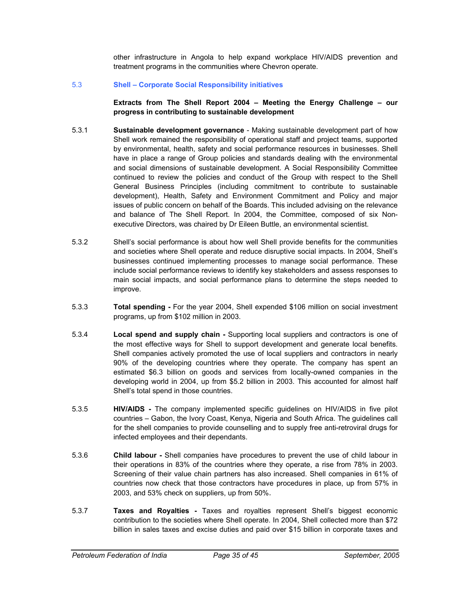other infrastructure in Angola to help expand workplace HIV/AIDS prevention and treatment programs in the communities where Chevron operate.

#### 5.3 **Shell – Corporate Social Responsibility initiatives**

**Extracts from The Shell Report 2004 – Meeting the Energy Challenge – our progress in contributing to sustainable development** 

- 5.3.1 **Sustainable development governance** Making sustainable development part of how Shell work remained the responsibility of operational staff and project teams, supported by environmental, health, safety and social performance resources in businesses. Shell have in place a range of Group policies and standards dealing with the environmental and social dimensions of sustainable development. A Social Responsibility Committee continued to review the policies and conduct of the Group with respect to the Shell General Business Principles (including commitment to contribute to sustainable development), Health, Safety and Environment Commitment and Policy and major issues of public concern on behalf of the Boards. This included advising on the relevance and balance of The Shell Report. In 2004, the Committee, composed of six Nonexecutive Directors, was chaired by Dr Eileen Buttle, an environmental scientist.
- 5.3.2 Shell's social performance is about how well Shell provide benefits for the communities and societies where Shell operate and reduce disruptive social impacts. In 2004, Shell's businesses continued implementing processes to manage social performance. These include social performance reviews to identify key stakeholders and assess responses to main social impacts, and social performance plans to determine the steps needed to improve.
- 5.3.3 **Total spending -** For the year 2004, Shell expended \$106 million on social investment programs, up from \$102 million in 2003.
- 5.3.4 **Local spend and supply chain -** Supporting local suppliers and contractors is one of the most effective ways for Shell to support development and generate local benefits. Shell companies actively promoted the use of local suppliers and contractors in nearly 90% of the developing countries where they operate. The company has spent an estimated \$6.3 billion on goods and services from locally-owned companies in the developing world in 2004, up from \$5.2 billion in 2003. This accounted for almost half Shell's total spend in those countries.
- 5.3.5 **HIV/AIDS** The company implemented specific guidelines on HIV/AIDS in five pilot countries – Gabon, the Ivory Coast, Kenya, Nigeria and South Africa. The guidelines call for the shell companies to provide counselling and to supply free anti-retroviral drugs for infected employees and their dependants.
- 5.3.6 **Child labour -** Shell companies have procedures to prevent the use of child labour in their operations in 83% of the countries where they operate, a rise from 78% in 2003. Screening of their value chain partners has also increased. Shell companies in 61% of countries now check that those contractors have procedures in place, up from 57% in 2003, and 53% check on suppliers, up from 50%.
- 5.3.7 **Taxes and Royalties -** Taxes and royalties represent Shell's biggest economic contribution to the societies where Shell operate. In 2004, Shell collected more than \$72 billion in sales taxes and excise duties and paid over \$15 billion in corporate taxes and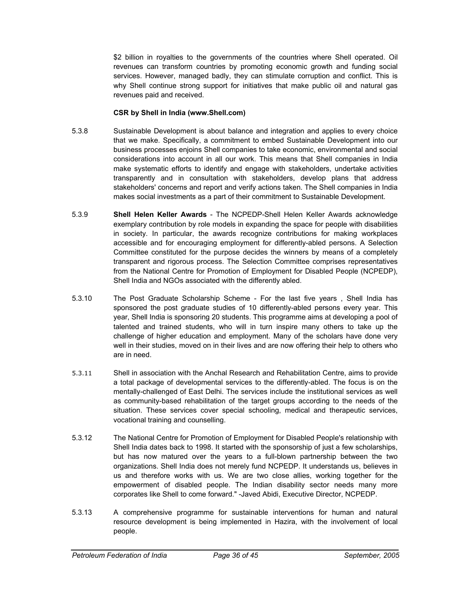\$2 billion in royalties to the governments of the countries where Shell operated. Oil revenues can transform countries by promoting economic growth and funding social services. However, managed badly, they can stimulate corruption and conflict. This is why Shell continue strong support for initiatives that make public oil and natural gas revenues paid and received.

#### **CSR by Shell in India (www.Shell.com)**

- 5.3.8 Sustainable Development is about balance and integration and applies to every choice that we make. Specifically, a commitment to embed Sustainable Development into our business processes enjoins Shell companies to take economic, environmental and social considerations into account in all our work. This means that Shell companies in India make systematic efforts to identify and engage with stakeholders, undertake activities transparently and in consultation with stakeholders, develop plans that address stakeholders' concerns and report and verify actions taken. The Shell companies in India makes social investments as a part of their commitment to Sustainable Development.
- 5.3.9 **Shell Helen Keller Awards** The NCPEDP-Shell Helen Keller Awards acknowledge exemplary contribution by role models in expanding the space for people with disabilities in society. In particular, the awards recognize contributions for making workplaces accessible and for encouraging employment for differently-abled persons. A Selection Committee constituted for the purpose decides the winners by means of a completely transparent and rigorous process. The Selection Committee comprises representatives from the National Centre for Promotion of Employment for Disabled People (NCPEDP), Shell India and NGOs associated with the differently abled.
- 5.3.10 The Post Graduate Scholarship Scheme For the last five years , Shell India has sponsored the post graduate studies of 10 differently-abled persons every year. This year, Shell India is sponsoring 20 students. This programme aims at developing a pool of talented and trained students, who will in turn inspire many others to take up the challenge of higher education and employment. Many of the scholars have done very well in their studies, moved on in their lives and are now offering their help to others who are in need.
- 5.3.11 Shell in association with the Anchal Research and Rehabilitation Centre, aims to provide a total package of developmental services to the differently-abled. The focus is on the mentally-challenged of East Delhi. The services include the institutional services as well as community-based rehabilitation of the target groups according to the needs of the situation. These services cover special schooling, medical and therapeutic services, vocational training and counselling.
- 5.3.12 The National Centre for Promotion of Employment for Disabled People's relationship with Shell India dates back to 1998. It started with the sponsorship of just a few scholarships, but has now matured over the years to a full-blown partnership between the two organizations. Shell India does not merely fund NCPEDP. It understands us, believes in us and therefore works with us. We are two close allies, working together for the empowerment of disabled people. The Indian disability sector needs many more corporates like Shell to come forward." -Javed Abidi, Executive Director, NCPEDP.
- 5.3.13 A comprehensive programme for sustainable interventions for human and natural resource development is being implemented in Hazira, with the involvement of local people.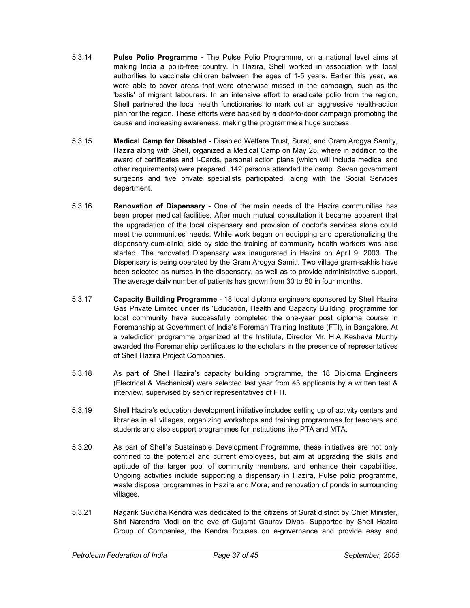- 5.3.14 **Pulse Polio Programme** The Pulse Polio Programme, on a national level aims at making India a polio-free country. In Hazira, Shell worked in association with local authorities to vaccinate children between the ages of 1-5 years. Earlier this year, we were able to cover areas that were otherwise missed in the campaign, such as the 'bastis' of migrant labourers. In an intensive effort to eradicate polio from the region, Shell partnered the local health functionaries to mark out an aggressive health-action plan for the region. These efforts were backed by a door-to-door campaign promoting the cause and increasing awareness, making the programme a huge success.
- 5.3.15 **Medical Camp for Disabled** Disabled Welfare Trust, Surat, and Gram Arogya Samity, Hazira along with Shell, organized a Medical Camp on May 25, where in addition to the award of certificates and I-Cards, personal action plans (which will include medical and other requirements) were prepared. 142 persons attended the camp. Seven government surgeons and five private specialists participated, along with the Social Services department.
- 5.3.16 **Renovation of Dispensary** One of the main needs of the Hazira communities has been proper medical facilities. After much mutual consultation it became apparent that the upgradation of the local dispensary and provision of doctor's services alone could meet the communities' needs. While work began on equipping and operationalizing the dispensary-cum-clinic, side by side the training of community health workers was also started. The renovated Dispensary was inaugurated in Hazira on April 9, 2003. The Dispensary is being operated by the Gram Arogya Samiti. Two village gram-sakhis have been selected as nurses in the dispensary, as well as to provide administrative support. The average daily number of patients has grown from 30 to 80 in four months.
- 5.3.17 **Capacity Building Programme** 18 local diploma engineers sponsored by Shell Hazira Gas Private Limited under its 'Education, Health and Capacity Building' programme for local community have successfully completed the one-year post diploma course in Foremanship at Government of India's Foreman Training Institute (FTI), in Bangalore. At a valediction programme organized at the Institute, Director Mr. H.A Keshava Murthy awarded the Foremanship certificates to the scholars in the presence of representatives of Shell Hazira Project Companies.
- 5.3.18 As part of Shell Hazira's capacity building programme, the 18 Diploma Engineers (Electrical & Mechanical) were selected last year from 43 applicants by a written test & interview, supervised by senior representatives of FTI.
- 5.3.19 Shell Hazira's education development initiative includes setting up of activity centers and libraries in all villages, organizing workshops and training programmes for teachers and students and also support programmes for institutions like PTA and MTA.
- 5.3.20 As part of Shell's Sustainable Development Programme, these initiatives are not only confined to the potential and current employees, but aim at upgrading the skills and aptitude of the larger pool of community members, and enhance their capabilities. Ongoing activities include supporting a dispensary in Hazira, Pulse polio programme, waste disposal programmes in Hazira and Mora, and renovation of ponds in surrounding villages.
- 5.3.21 Nagarik Suvidha Kendra was dedicated to the citizens of Surat district by Chief Minister, Shri Narendra Modi on the eve of Gujarat Gaurav Divas. Supported by Shell Hazira Group of Companies, the Kendra focuses on e-governance and provide easy and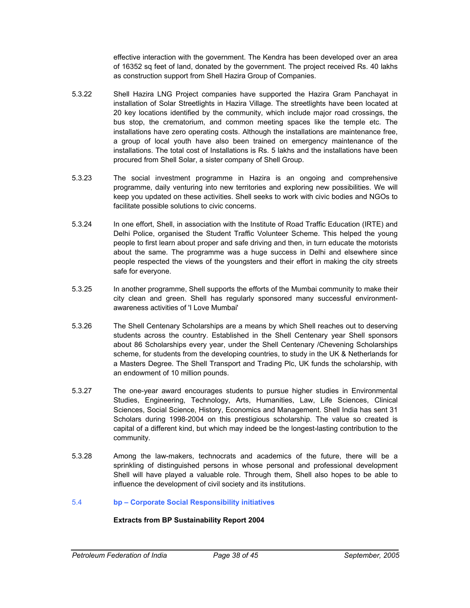effective interaction with the government. The Kendra has been developed over an area of 16352 sq feet of land, donated by the government. The project received Rs. 40 lakhs as construction support from Shell Hazira Group of Companies.

- 5.3.22 Shell Hazira LNG Project companies have supported the Hazira Gram Panchayat in installation of Solar Streetlights in Hazira Village. The streetlights have been located at 20 key locations identified by the community, which include major road crossings, the bus stop, the crematorium, and common meeting spaces like the temple etc. The installations have zero operating costs. Although the installations are maintenance free, a group of local youth have also been trained on emergency maintenance of the installations. The total cost of Installations is Rs. 5 lakhs and the installations have been procured from Shell Solar, a sister company of Shell Group.
- 5.3.23 The social investment programme in Hazira is an ongoing and comprehensive programme, daily venturing into new territories and exploring new possibilities. We will keep you updated on these activities. Shell seeks to work with civic bodies and NGOs to facilitate possible solutions to civic concerns.
- 5.3.24 In one effort, Shell, in association with the Institute of Road Traffic Education (IRTE) and Delhi Police, organised the Student Traffic Volunteer Scheme. This helped the young people to first learn about proper and safe driving and then, in turn educate the motorists about the same. The programme was a huge success in Delhi and elsewhere since people respected the views of the youngsters and their effort in making the city streets safe for everyone.
- 5.3.25 In another programme, Shell supports the efforts of the Mumbai community to make their city clean and green. Shell has regularly sponsored many successful environmentawareness activities of 'I Love Mumbai'
- 5.3.26 The Shell Centenary Scholarships are a means by which Shell reaches out to deserving students across the country. Established in the Shell Centenary year Shell sponsors about 86 Scholarships every year, under the Shell Centenary /Chevening Scholarships scheme, for students from the developing countries, to study in the UK & Netherlands for a Masters Degree. The Shell Transport and Trading Plc, UK funds the scholarship, with an endowment of 10 million pounds.
- 5.3.27 The one-year award encourages students to pursue higher studies in Environmental Studies, Engineering, Technology, Arts, Humanities, Law, Life Sciences, Clinical Sciences, Social Science, History, Economics and Management. Shell India has sent 31 Scholars during 1998-2004 on this prestigious scholarship. The value so created is capital of a different kind, but which may indeed be the longest-lasting contribution to the community.
- 5.3.28 Among the law-makers, technocrats and academics of the future, there will be a sprinkling of distinguished persons in whose personal and professional development Shell will have played a valuable role. Through them, Shell also hopes to be able to influence the development of civil society and its institutions.

#### 5.4 **bp – Corporate Social Responsibility initiatives**

#### **Extracts from BP Sustainability Report 2004**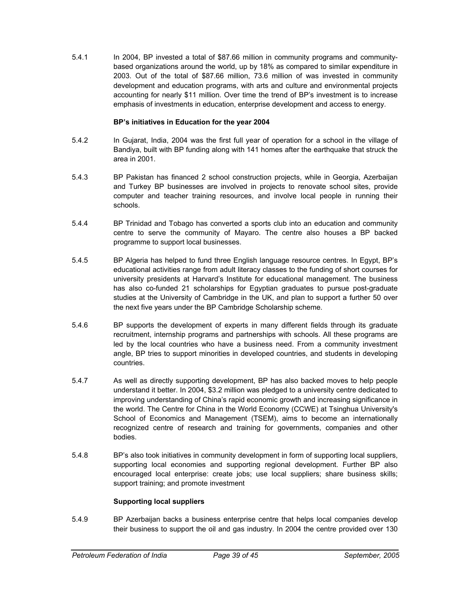5.4.1 In 2004, BP invested a total of \$87.66 million in community programs and communitybased organizations around the world, up by 18% as compared to similar expenditure in 2003. Out of the total of \$87.66 million, 73.6 million of was invested in community development and education programs, with arts and culture and environmental projects accounting for nearly \$11 million. Over time the trend of BP's investment is to increase emphasis of investments in education, enterprise development and access to energy.

#### **BP's initiatives in Education for the year 2004**

- 5.4.2 In Gujarat, India, 2004 was the first full year of operation for a school in the village of Bandiya, built with BP funding along with 141 homes after the earthquake that struck the area in 2001.
- 5.4.3 BP Pakistan has financed 2 school construction projects, while in Georgia, Azerbaijan and Turkey BP businesses are involved in projects to renovate school sites, provide computer and teacher training resources, and involve local people in running their schools.
- 5.4.4 BP Trinidad and Tobago has converted a sports club into an education and community centre to serve the community of Mayaro. The centre also houses a BP backed programme to support local businesses.
- 5.4.5 BP Algeria has helped to fund three English language resource centres. In Egypt, BP's educational activities range from adult literacy classes to the funding of short courses for university presidents at Harvard's Institute for educational management. The business has also co-funded 21 scholarships for Egyptian graduates to pursue post-graduate studies at the University of Cambridge in the UK, and plan to support a further 50 over the next five years under the BP Cambridge Scholarship scheme.
- 5.4.6 BP supports the development of experts in many different fields through its graduate recruitment, internship programs and partnerships with schools. All these programs are led by the local countries who have a business need. From a community investment angle, BP tries to support minorities in developed countries, and students in developing countries.
- 5.4.7 As well as directly supporting development, BP has also backed moves to help people understand it better. In 2004, \$3.2 million was pledged to a university centre dedicated to improving understanding of China's rapid economic growth and increasing significance in the world. The Centre for China in the World Economy (CCWE) at Tsinghua University's School of Economics and Management (TSEM), aims to become an internationally recognized centre of research and training for governments, companies and other bodies.
- 5.4.8 BP's also took initiatives in community development in form of supporting local suppliers, supporting local economies and supporting regional development. Further BP also encouraged local enterprise: create jobs; use local suppliers; share business skills; support training; and promote investment

#### **Supporting local suppliers**

5.4.9 BP Azerbaijan backs a business enterprise centre that helps local companies develop their business to support the oil and gas industry. In 2004 the centre provided over 130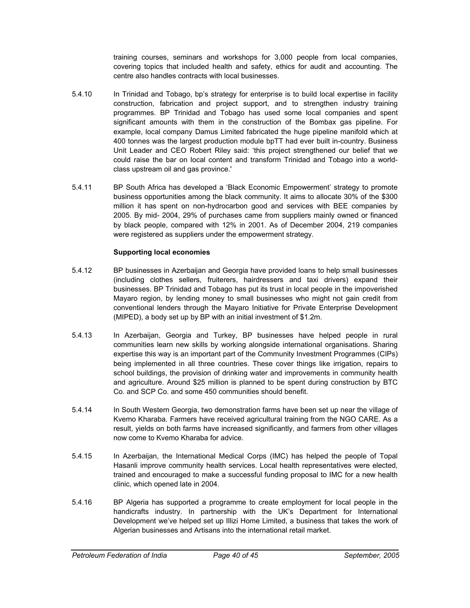training courses, seminars and workshops for 3,000 people from local companies, covering topics that included health and safety, ethics for audit and accounting. The centre also handles contracts with local businesses.

- 5.4.10 In Trinidad and Tobago, bp's strategy for enterprise is to build local expertise in facility construction, fabrication and project support, and to strengthen industry training programmes. BP Trinidad and Tobago has used some local companies and spent significant amounts with them in the construction of the Bombax gas pipeline. For example, local company Damus Limited fabricated the huge pipeline manifold which at 400 tonnes was the largest production module bpTT had ever built in-country. Business Unit Leader and CEO Robert Riley said: 'this project strengthened our belief that we could raise the bar on local content and transform Trinidad and Tobago into a worldclass upstream oil and gas province.'
- 5.4.11 BP South Africa has developed a 'Black Economic Empowerment' strategy to promote business opportunities among the black community. It aims to allocate 30% of the \$300 million it has spent on non-hydrocarbon good and services with BEE companies by 2005. By mid- 2004, 29% of purchases came from suppliers mainly owned or financed by black people, compared with 12% in 2001. As of December 2004, 219 companies were registered as suppliers under the empowerment strategy.

#### **Supporting local economies**

- 5.4.12 BP businesses in Azerbaijan and Georgia have provided loans to help small businesses (including clothes sellers, fruiterers, hairdressers and taxi drivers) expand their businesses. BP Trinidad and Tobago has put its trust in local people in the impoverished Mayaro region, by lending money to small businesses who might not gain credit from conventional lenders through the Mayaro Initiative for Private Enterprise Development (MIPED), a body set up by BP with an initial investment of \$1.2m.
- 5.4.13 In Azerbaijan, Georgia and Turkey, BP businesses have helped people in rural communities learn new skills by working alongside international organisations. Sharing expertise this way is an important part of the Community Investment Programmes (CIPs) being implemented in all three countries. These cover things like irrigation, repairs to school buildings, the provision of drinking water and improvements in community health and agriculture. Around \$25 million is planned to be spent during construction by BTC Co. and SCP Co. and some 450 communities should benefit.
- 5.4.14 In South Western Georgia, two demonstration farms have been set up near the village of Kvemo Kharaba. Farmers have received agricultural training from the NGO CARE. As a result, yields on both farms have increased significantly, and farmers from other villages now come to Kvemo Kharaba for advice.
- 5.4.15 In Azerbaijan, the International Medical Corps (IMC) has helped the people of Topal Hasanli improve community health services. Local health representatives were elected, trained and encouraged to make a successful funding proposal to IMC for a new health clinic, which opened late in 2004.
- 5.4.16 BP Algeria has supported a programme to create employment for local people in the handicrafts industry. In partnership with the UK's Department for International Development we've helped set up Illizi Home Limited, a business that takes the work of Algerian businesses and Artisans into the international retail market.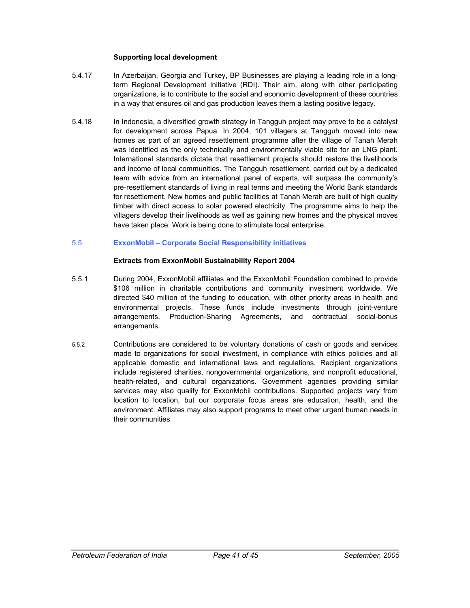#### **Supporting local development**

- 5.4.17 In Azerbaijan, Georgia and Turkey, BP Businesses are playing a leading role in a longterm Regional Development Initiative (RDI). Their aim, along with other participating organizations, is to contribute to the social and economic development of these countries in a way that ensures oil and gas production leaves them a lasting positive legacy.
- 5.4.18 In Indonesia, a diversified growth strategy in Tangguh project may prove to be a catalyst for development across Papua. In 2004, 101 villagers at Tangguh moved into new homes as part of an agreed resettlement programme after the village of Tanah Merah was identified as the only technically and environmentally viable site for an LNG plant. International standards dictate that resettlement projects should restore the livelihoods and income of local communities. The Tangguh resettlement, carried out by a dedicated team with advice from an international panel of experts, will surpass the community's pre-resettlement standards of living in real terms and meeting the World Bank standards for resettlement. New homes and public facilities at Tanah Merah are built of high quality timber with direct access to solar powered electricity. The programme aims to help the villagers develop their livelihoods as well as gaining new homes and the physical moves have taken place. Work is being done to stimulate local enterprise.

#### 5.5 **ExxonMobil – Corporate Social Responsibility initiatives**

#### **Extracts from ExxonMobil Sustainability Report 2004**

- 5.5.1 During 2004, ExxonMobil affiliates and the ExxonMobil Foundation combined to provide \$106 million in charitable contributions and community investment worldwide. We directed \$40 million of the funding to education, with other priority areas in health and environmental projects. These funds include investments through joint-venture arrangements, Production-Sharing Agreements, and contractual social-bonus arrangements.
- 5.5.2 Contributions are considered to be voluntary donations of cash or goods and services made to organizations for social investment, in compliance with ethics policies and all applicable domestic and international laws and regulations. Recipient organizations include registered charities, nongovernmental organizations, and nonprofit educational, health-related, and cultural organizations. Government agencies providing similar services may also qualify for ExxonMobil contributions. Supported projects vary from location to location, but our corporate focus areas are education, health, and the environment. Affiliates may also support programs to meet other urgent human needs in their communities.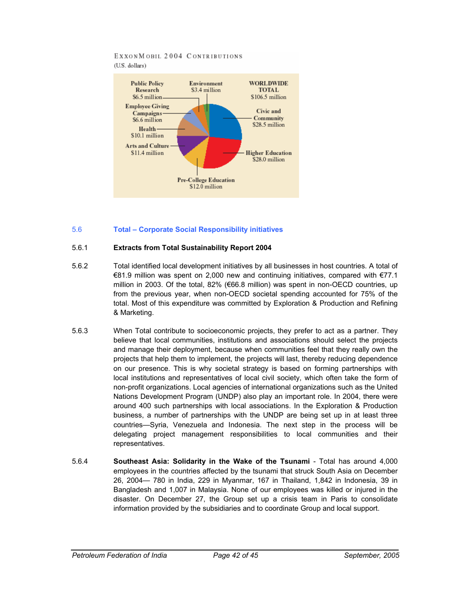#### EXXONMOBIL 2004 CONTRIBUTIONS (U.S. dollars)



#### 5.6 **Total – Corporate Social Responsibility initiatives**

#### 5.6.1 **Extracts from Total Sustainability Report 2004**

- 5.6.2 Total identified local development initiatives by all businesses in host countries. A total of €81.9 million was spent on 2,000 new and continuing initiatives, compared with €77.1 million in 2003. Of the total, 82% ( $\epsilon$ 66.8 million) was spent in non-OECD countries, up from the previous year, when non-OECD societal spending accounted for 75% of the total. Most of this expenditure was committed by Exploration & Production and Refining & Marketing.
- 5.6.3 When Total contribute to socioeconomic projects, they prefer to act as a partner. They believe that local communities, institutions and associations should select the projects and manage their deployment, because when communities feel that they really own the projects that help them to implement, the projects will last, thereby reducing dependence on our presence. This is why societal strategy is based on forming partnerships with local institutions and representatives of local civil society, which often take the form of non-profit organizations. Local agencies of international organizations such as the United Nations Development Program (UNDP) also play an important role. In 2004, there were around 400 such partnerships with local associations. In the Exploration & Production business, a number of partnerships with the UNDP are being set up in at least three countries—Syria, Venezuela and Indonesia. The next step in the process will be delegating project management responsibilities to local communities and their representatives.
- 5.6.4 **Southeast Asia: Solidarity in the Wake of the Tsunami** Total has around 4,000 employees in the countries affected by the tsunami that struck South Asia on December 26, 2004— 780 in India, 229 in Myanmar, 167 in Thailand, 1,842 in Indonesia, 39 in Bangladesh and 1,007 in Malaysia. None of our employees was killed or injured in the disaster. On December 27, the Group set up a crisis team in Paris to consolidate information provided by the subsidiaries and to coordinate Group and local support.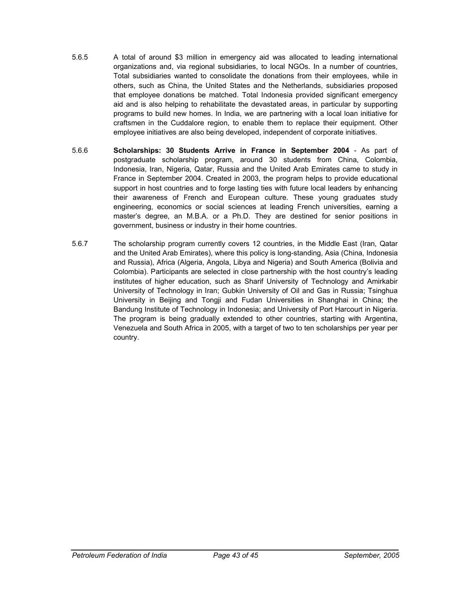- 5.6.5 A total of around \$3 million in emergency aid was allocated to leading international organizations and, via regional subsidiaries, to local NGOs. In a number of countries, Total subsidiaries wanted to consolidate the donations from their employees, while in others, such as China, the United States and the Netherlands, subsidiaries proposed that employee donations be matched. Total Indonesia provided significant emergency aid and is also helping to rehabilitate the devastated areas, in particular by supporting programs to build new homes. In India, we are partnering with a local loan initiative for craftsmen in the Cuddalore region, to enable them to replace their equipment. Other employee initiatives are also being developed, independent of corporate initiatives.
- 5.6.6 **Scholarships: 30 Students Arrive in France in September 2004** As part of postgraduate scholarship program, around 30 students from China, Colombia, Indonesia, Iran, Nigeria, Qatar, Russia and the United Arab Emirates came to study in France in September 2004. Created in 2003, the program helps to provide educational support in host countries and to forge lasting ties with future local leaders by enhancing their awareness of French and European culture. These young graduates study engineering, economics or social sciences at leading French universities, earning a master's degree, an M.B.A. or a Ph.D. They are destined for senior positions in government, business or industry in their home countries.
- 5.6.7 The scholarship program currently covers 12 countries, in the Middle East (Iran, Qatar and the United Arab Emirates), where this policy is long-standing, Asia (China, Indonesia and Russia), Africa (Algeria, Angola, Libya and Nigeria) and South America (Bolivia and Colombia). Participants are selected in close partnership with the host country's leading institutes of higher education, such as Sharif University of Technology and Amirkabir University of Technology in Iran; Gubkin University of Oil and Gas in Russia; Tsinghua University in Beijing and Tongji and Fudan Universities in Shanghai in China; the Bandung Institute of Technology in Indonesia; and University of Port Harcourt in Nigeria. The program is being gradually extended to other countries, starting with Argentina, Venezuela and South Africa in 2005, with a target of two to ten scholarships per year per country.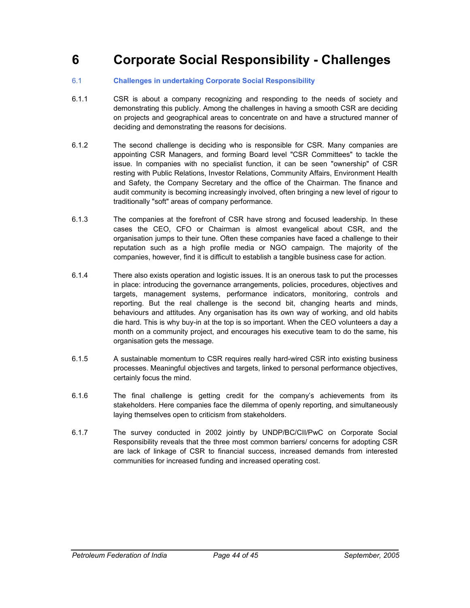## **6 Corporate Social Responsibility - Challenges**

#### 6.1 **Challenges in undertaking Corporate Social Responsibility**

- 6.1.1 CSR is about a company recognizing and responding to the needs of society and demonstrating this publicly. Among the challenges in having a smooth CSR are deciding on projects and geographical areas to concentrate on and have a structured manner of deciding and demonstrating the reasons for decisions.
- 6.1.2 The second challenge is deciding who is responsible for CSR. Many companies are appointing CSR Managers, and forming Board level "CSR Committees" to tackle the issue. In companies with no specialist function, it can be seen "ownership" of CSR resting with Public Relations, Investor Relations, Community Affairs, Environment Health and Safety, the Company Secretary and the office of the Chairman. The finance and audit community is becoming increasingly involved, often bringing a new level of rigour to traditionally "soft" areas of company performance.
- 6.1.3 The companies at the forefront of CSR have strong and focused leadership. In these cases the CEO, CFO or Chairman is almost evangelical about CSR, and the organisation jumps to their tune. Often these companies have faced a challenge to their reputation such as a high profile media or NGO campaign. The majority of the companies, however, find it is difficult to establish a tangible business case for action.
- 6.1.4 There also exists operation and logistic issues. It is an onerous task to put the processes in place: introducing the governance arrangements, policies, procedures, objectives and targets, management systems, performance indicators, monitoring, controls and reporting. But the real challenge is the second bit, changing hearts and minds, behaviours and attitudes. Any organisation has its own way of working, and old habits die hard. This is why buy-in at the top is so important. When the CEO volunteers a day a month on a community project, and encourages his executive team to do the same, his organisation gets the message.
- 6.1.5 A sustainable momentum to CSR requires really hard-wired CSR into existing business processes. Meaningful objectives and targets, linked to personal performance objectives, certainly focus the mind.
- 6.1.6 The final challenge is getting credit for the company's achievements from its stakeholders. Here companies face the dilemma of openly reporting, and simultaneously laying themselves open to criticism from stakeholders.
- 6.1.7 The survey conducted in 2002 jointly by UNDP/BC/CII/PwC on Corporate Social Responsibility reveals that the three most common barriers/ concerns for adopting CSR are lack of linkage of CSR to financial success, increased demands from interested communities for increased funding and increased operating cost.